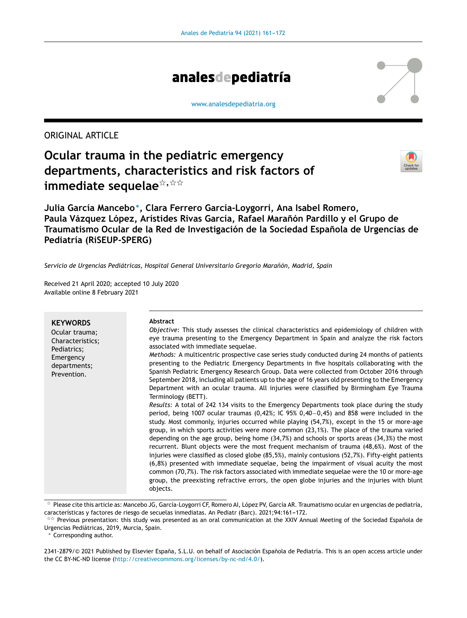

[www.analesdepediatria.org](http://www.analesdepediatria.org)

# ORIGINAL ARTICLE

# **Ocular trauma in the pediatric emergency departments, characteristics and risk factors of** immediate sequelae $^{\not\approx, \, \dot\ltimes \, \dot\ltimes}$



**Julia García Mancebo**<sup>∗</sup> **, Clara Ferrero García-Loygorri, Ana Isabel Romero, Paula Vázquez López, Arístides Rivas García, Rafael Maranón ˜ Pardillo y el Grupo de Traumatismo Ocular de la Red de Investigación de la Sociedad Espanola ˜ de Urgencias de Pediatría (RiSEUP-SPERG)**

*Servicio de Urgencias Pediátricas, Hospital General Universitario Gregorio Maranón, ˜ Madrid, Spain*

Received 21 April 2020; accepted 10 July 2020 Available online 8 February 2021

| <b>KEYWORDS</b><br>Ocular trauma;<br>Characteristics;<br>Pediatrics;<br>Emergency<br>departments;<br>Prevention. | Abstract<br>Objective: This study assesses the clinical characteristics and epidemiology of children with<br>eye trauma presenting to the Emergency Department in Spain and analyze the risk factors<br>associated with immediate sequelae.<br>Methods: A multicentric prospective case series study conducted during 24 months of patients<br>presenting to the Pediatric Emergency Departments in five hospitals collaborating with the<br>Spanish Pediatric Emergency Research Group. Data were collected from October 2016 through<br>September 2018, including all patients up to the age of 16 years old presenting to the Emergency<br>Department with an ocular trauma. All injuries were classified by Birmingham Eye Trauma<br>Terminology (BETT).<br>Results: A total of 242 134 visits to the Emergency Departments took place during the study<br>period, being 1007 ocular traumas $(0.42\%)$ ; IC 95% 0.40-0.45) and 858 were included in the<br>study. Most commonly, injuries occurred while playing (54,7%), except in the 15 or more-age<br>group, in which sports activities were more common $(23,1\%)$ . The place of the trauma varied<br>depending on the age group, being home $(34,7%)$ and schools or sports areas $(34,3%)$ the most<br>recurrent. Blunt objects were the most frequent mechanism of trauma (48,6%). Most of the<br>injuries were classified as closed globe (85,5%), mainly contusions (52,7%). Fifty-eight patients<br>(6,8%) presented with immediate sequelae, being the impairment of visual acuity the most<br>common (70,7%). The risk factors associated with immediate sequelae were the 10 or more-age<br>group, the preexisting refractive errors, the open globe injuries and the injuries with blunt<br>objects. |
|------------------------------------------------------------------------------------------------------------------|---------------------------------------------------------------------------------------------------------------------------------------------------------------------------------------------------------------------------------------------------------------------------------------------------------------------------------------------------------------------------------------------------------------------------------------------------------------------------------------------------------------------------------------------------------------------------------------------------------------------------------------------------------------------------------------------------------------------------------------------------------------------------------------------------------------------------------------------------------------------------------------------------------------------------------------------------------------------------------------------------------------------------------------------------------------------------------------------------------------------------------------------------------------------------------------------------------------------------------------------------------------------------------------------------------------------------------------------------------------------------------------------------------------------------------------------------------------------------------------------------------------------------------------------------------------------------------------------------------------------------------------------------------------------------------------------------------------------------------------------------------------------------|
|------------------------------------------------------------------------------------------------------------------|---------------------------------------------------------------------------------------------------------------------------------------------------------------------------------------------------------------------------------------------------------------------------------------------------------------------------------------------------------------------------------------------------------------------------------------------------------------------------------------------------------------------------------------------------------------------------------------------------------------------------------------------------------------------------------------------------------------------------------------------------------------------------------------------------------------------------------------------------------------------------------------------------------------------------------------------------------------------------------------------------------------------------------------------------------------------------------------------------------------------------------------------------------------------------------------------------------------------------------------------------------------------------------------------------------------------------------------------------------------------------------------------------------------------------------------------------------------------------------------------------------------------------------------------------------------------------------------------------------------------------------------------------------------------------------------------------------------------------------------------------------------------------|

<sup>-</sup> Please cite this article as: Mancebo JG, García-Loygorri CF, Romero AI, López PV, García AR. Traumatismo ocular en urgencias de pediatría, características y factores de riesgo de secuelas inmediatas. An Pediatr (Barc). 2021;94:161-172.

<sup>∗</sup> Corresponding author.

<sup>\*\*</sup> Previous presentation: this study was presented as an oral communication at the XXIV Annual Meeting of the Sociedad Española de Urgencias Pediátricas, 2019, Murcia, Spain.

<sup>2341-2879/© 2021</sup> Published by Elsevier España, S.L.U. on behalf of Asociación Española de Pediatría. This is an open access article under the CC BY-NC-ND license [\(http://creativecommons.org/licenses/by-nc-nd/4.0/\)](http://creativecommons.org/licenses/by-nc-nd/4.0/).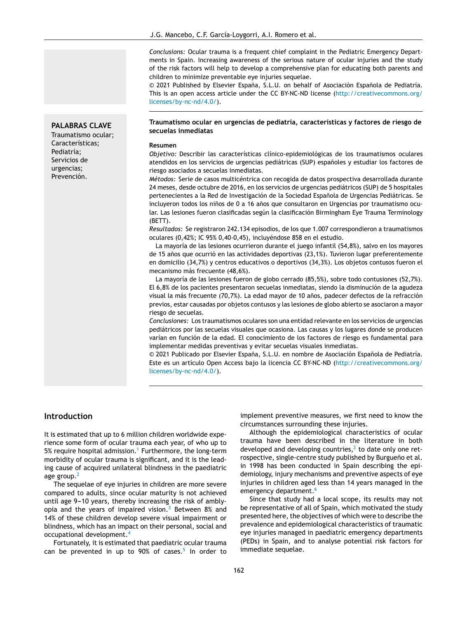*Conclusions:* Ocular trauma is a frequent chief complaint in the Pediatric Emergency Departments in Spain. Increasing awareness of the serious nature of ocular injuries and the study of the risk factors will help to develop a comprehensive plan for educating both parents and children to minimize preventable eye injuries sequelae.

© 2021 Published by Elsevier España, S.L.U. on behalf of Asociación Española de Pediatría. This is an open access article under the CC BY-NC-ND license ([http://creativecommons.org/](http://creativecommons.org/licenses/by-nc-nd/4.0/) [licenses/by-nc-nd/4.0/\)](http://creativecommons.org/licenses/by-nc-nd/4.0/).

## **PALABRAS CLAVE**

Traumatismo ocular; Características; Pediatría; Servicios de urgencias; Prevención.

#### **Traumatismo ocular en urgencias de pediatría, características y factores de riesgo de secuelas inmediatas**

#### **Resumen**

*Objetivo:* Describir las características clínico-epidemiológicas de los traumatismos oculares atendidos en los servicios de urgencias pediátricas (SUP) españoles y estudiar los factores de riesgo asociados a secuelas inmediatas.

*Métodos:* Serie de casos multicéntrica con recogida de datos prospectiva desarrollada durante 24 meses, desde octubre de 2016, en los servicios de urgencias pediátricos (SUP) de 5 hospitales pertenecientes a la Red de Investigación de la Sociedad Española de Urgencias Pediátricas. Se incluyeron todos los niños de 0 a 16 años que consultaron en Urgencias por traumatismo ocular. Las lesiones fueron clasificadas según la clasificación Birmingham Eye Trauma Terminology (BETT).

*Resultados:* Se registraron 242.134 episodios, de los que 1.007 correspondieron a traumatismos oculares (0,42%; IC 95% 0,40-0,45), incluyéndose 858 en el estudio.

La mayoría de las lesiones ocurrieron durante el juego infantil (54,8%), salvo en los mayores de 15 años que ocurrió en las actividades deportivas (23,1%). Tuvieron lugar preferentemente en domicilio (34,7%) y centros educativos o deportivos (34,3%). Los objetos contusos fueron el mecanismo más frecuente (48,6%).

La mayoría de las lesiones fueron de globo cerrado (85,5%), sobre todo contusiones (52,7%). El 6,8% de los pacientes presentaron secuelas inmediatas, siendo la disminución de la agudeza visual la más frecuente (70,7%). La edad mayor de 10 años, padecer defectos de la refracción previos, estar causadas por objetos contusos y las lesiones de globo abierto se asociaron a mayor riesgo de secuelas.

*Conclusiones:* Los traumatismos oculares son una entidad relevante en los servicios de urgencias pediátricos por las secuelas visuales que ocasiona. Las causas y los lugares donde se producen varían en función de la edad. El conocimiento de los factores de riesgo es fundamental para implementar medidas preventivas y evitar secuelas visuales inmediatas.

© 2021 Publicado por Elsevier España, S.L.U. en nombre de Asociación Española de Pediatría. Este es un artículo Open Access bajo la licencia CC BY-NC-ND ([http://creativecommons.org/](http://creativecommons.org/licenses/by-nc-nd/4.0/) [licenses/by-nc-nd/4.0/\)](http://creativecommons.org/licenses/by-nc-nd/4.0/).

## **Introduction**

It is estimated that up to 6 million children worldwide experience some form of ocular trauma each year, of who up to 5% require hospital admission.<sup>[1](#page-10-0)</sup> Furthermore, the long-term morbidity of ocular trauma is significant, and it is the leading cause of acquired unilateral blindness in the paediatric age group. $<sup>2</sup>$  $<sup>2</sup>$  $<sup>2</sup>$ </sup>

The sequelae of eye injuries in children are more severe compared to adults, since ocular maturity is not achieved until age 9-10 years, thereby increasing the risk of ambly-opia and the years of impaired vision.<sup>[3](#page-10-0)</sup> Between 8% and 14% of these children develop severe visual impairment or blindness, which has an impact on their personal, social and occupational development.[4](#page-10-0)

Fortunately, it is estimated that paediatric ocular trauma can be prevented in up to 90% of cases.<sup>[5](#page-10-0)</sup> In order to

implement preventive measures, we first need to know the circumstances surrounding these injuries.

Although the epidemiological characteristics of ocular trauma have been described in the literature in both developed and developing coun[t](#page-10-0)ries, $<sup>2</sup>$  to date only one ret-</sup> rospective, single-centre study published by Burgueno et al. in 1998 has been conducted in Spain describing the epidemiology, injury mechanisms and preventive aspects of eye injuries in children aged less than 14 years managed in the emergency department.<sup>[6](#page-10-0)</sup>

Since that study had a local scope, its results may not be representative of all of Spain, which motivated the study presented here, the objectives of which were to describe the prevalence and epidemiological characteristics of traumatic eye injuries managed in paediatric emergency departments (PEDs) in Spain, and to analyse potential risk factors for immediate sequelae.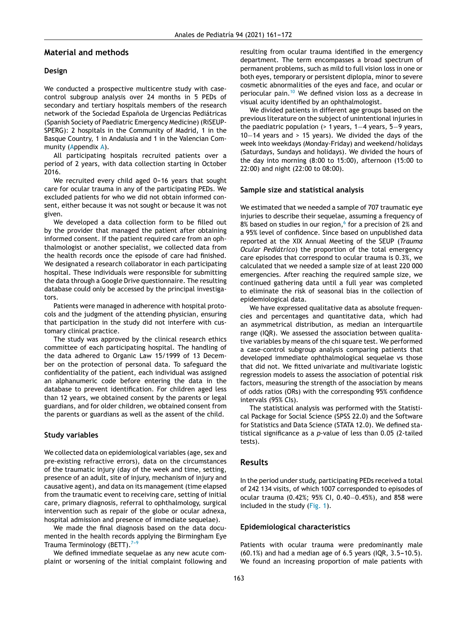## **Material and methods**

## **Design**

We conducted a prospective multicentre study with casecontrol subgroup analysis over 24 months in 5 PEDs of secondary and tertiary hospitals members of the research network of the Sociedad Española de Urgencias Pediátricas (Spanish Society of Paediatric Emergency Medicine) (RiSEUP-SPERG): 2 hospitals in the Community of Madrid, 1 in the Basque Country, 1 in Andalusia and 1 in the Valencian Community [\(App](#page-10-0)endix [A\).](#page-10-0)

All participating hospitals recruited patients over a period of 2 years, with data collection starting in October 2016.

We recruited every child aged 0-16 years that sought care for ocular trauma in any of the participating PEDs. We excluded patients for who we did not obtain informed consent, either because it was not sought or because it was not given.

We developed a data collection form to be filled out by the provider that managed the patient after obtaining informed consent. If the patient required care from an ophthalmologist or another specialist, we collected data from the health records once the episode of care had finished. We designated a research collaborator in each participating hospital. These individuals were responsible for submitting the data through a Google Drive questionnaire. The resulting database could only be accessed by the principal investigators.

Patients were managed in adherence with hospital protocols and the judgment of the attending physician, ensuring that participation in the study did not interfere with customary clinical practice.

The study was approved by the clinical research ethics committee of each participating hospital. The handling of the data adhered to Organic Law 15/1999 of 13 December on the protection of personal data. To safeguard the confidentiality of the patient, each individual was assigned an alphanumeric code before entering the data in the database to prevent identification. For children aged less than 12 years, we obtained consent by the parents or legal guardians, and for older children, we obtained consent from the parents or guardians as well as the assent of the child.

#### **Study variables**

We collected data on epidemiological variables (age, sex and pre-existing refractive errors), data on the circumstances of the traumatic injury (day of the week and time, setting, presence of an adult, site of injury, mechanism of injury and causative agent), and data on its management (time elapsed from the traumatic event to receiving care, setting of initial care, primary diagnosis, referral to ophthalmology, surgical intervention such as repair of the globe or ocular adnexa, hospital admission and presence of immediate sequelae).

We made the final diagnosis based on the data documented in the health records applying the Birmingham Eye Trauma Terminology (BETT). $7-9$ 

We defined immediate sequelae as any new acute complaint or worsening of the initial complaint following and resulting from ocular trauma identified in the emergency department. The term encompasses a broad spectrum of permanent problems, such as mild to full vision loss in one or both eyes, temporary or persistent diplopia, minor to severe cosmetic abnormalities of the eyes and face, and ocular or periocular pain.[10](#page-10-0) We defined vision loss as a decrease in visual acuity identified by an ophthalmologist.

We divided patients in different age groups based on the previous literature on the subject of unintentional injuries in the paediatric population (> 1 years, 1−4 years, 5−9 years, 10−14 years and > 15 years). We divided the days of the week into weekdays (Monday-Friday) and weekend/holidays (Saturdays, Sundays and holidays). We divided the hours of the day into morning (8:00 to 15:00), afternoon (15:00 to 22:00) and night (22:00 to 08:00).

#### **Sample size and statistical analysis**

We estimated that we needed a sample of 707 traumatic eye injuries to describe their sequelae, assuming a frequency of 8% based on studies in our region,<sup>[6](#page-10-0)</sup> for a precision of 2% and a 95% level of confidence. Since based on unpublished data reported at the XIX Annual Meeting of the SEUP (*Trauma Ocular Pediátrico*) the proportion of the total emergency care episodes that correspond to ocular trauma is 0.3%, we calculated that we needed a sample size of at least 220 000 emergencies. After reaching the required sample size, we continued gathering data until a full year was completed to eliminate the risk of seasonal bias in the collection of epidemiological data.

We have expressed qualitative data as absolute frequencies and percentages and quantitative data, which had an asymmetrical distribution, as median an interquartile range (IQR). We assessed the association between qualitative variables by means of the chi square test. We performed a case-control subgroup analysis comparing patients that developed immediate ophthalmological sequelae vs those that did not. We fitted univariate and multivariate logistic regression models to assess the association of potential risk factors, measuring the strength of the association by means of odds ratios (ORs) with the corresponding 95% confidence intervals (95% CIs).

The statistical analysis was performed with the Statistical Package for Social Science (SPSS 22.0) and the Software for Statistics and Data Science (STATA 12.0). We defined statistical significance as a *p*-value of less than 0.05 (2-tailed tests).

### **Results**

In the period under study, participating PEDs received a total of 242 134 visits, of which 1007 corresponded to episodes of ocular trauma (0.42%; 95% CI, 0.40−0.45%), and 858 were included in the study [\(Fig.](#page-3-0) 1).

#### **Epidemiological characteristics**

Patients with ocular trauma were predominantly male  $(60.1\%)$  and had a median age of 6.5 years  $(1QR, 3.5-10.5)$ . We found an increasing proportion of male patients with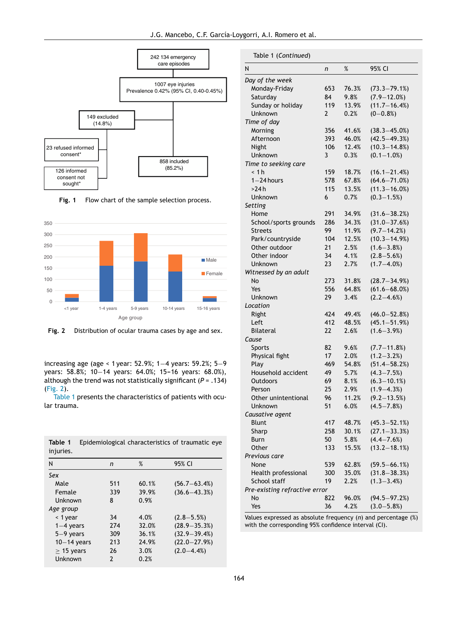J.G. Mancebo, C.F. García-Loygorri, A.I. Romero et al.

<span id="page-3-0"></span>





**Fig. 2** Distribution of ocular trauma cases by age and sex.

increasing age (age < 1 year: 52.9%; 1−4 years: 59.2%; 5−9 years: 58.8%; 10-14 years: 64.0%; 15-16 years: 68.0%), although the trend was not statistically significant (*P* = .134) (Fig. 2).

Table 1 presents the characteristics of patients with ocular trauma.

|           | <b>Table 1</b> Epidemiological characteristics of traumatic eye |  |  |
|-----------|-----------------------------------------------------------------|--|--|
| injuries. |                                                                 |  |  |

| N               | n             | %     | 95% CI           |
|-----------------|---------------|-------|------------------|
| Sex             |               |       |                  |
| Male            | 511           | 60.1% | $(56.7 - 63.4%)$ |
| Female          | 339           | 39.9% | $(36.6 - 43.3%)$ |
| Unknown         | 8             | 0.9%  |                  |
| Age group       |               |       |                  |
| < 1 year        | 34            | 4.0%  | $(2.8 - 5.5%)$   |
| $1-4$ years     | 274           | 32.0% | $(28.9 - 35.3%)$ |
| $5-9$ years     | 309           | 36.1% | $(32.9 - 39.4%)$ |
| $10-14$ years   | 213           | 24.9% | $(22.0 - 27.9%)$ |
| $\geq$ 15 years | 26            | 3.0%  | $(2.0 - 4.4\%)$  |
| Unknown         | $\mathcal{P}$ | 0.2%  |                  |

| N<br>%<br>95% CI                                          |  |
|-----------------------------------------------------------|--|
| n                                                         |  |
| Day of the week                                           |  |
| Monday-Friday<br>76.3%<br>$(73.3 - 79.1%)$<br>653         |  |
| $(7.9 - 12.0%)$<br>Saturday<br>84<br>9.8%                 |  |
| $(11.7 - 16.4%)$<br>119<br>Sunday or holiday<br>13.9%     |  |
| $(0 - 0.8\%)$<br>Unknown<br>0.2%<br>2                     |  |
| Time of day                                               |  |
| $(38.3 - 45.0\%)$<br>Morning<br>356<br>41.6%              |  |
| 46.0%<br>$(42.5 - 49.3%)$<br>Afternoon<br>393             |  |
| $(10.3 - 14.8%)$<br>12.4%<br>Night<br>106                 |  |
| $(0.1 - 1.0\%)$<br>3<br>0.3%<br>Unknown                   |  |
| Time to seeking care                                      |  |
| < 1 h<br>159<br>18.7%<br>$(16.1 - 21.4%)$                 |  |
| $1 - 24$ hours<br>578<br>67.8%<br>$(64.6 - 71.0%)$        |  |
| 115<br>13.5%<br>$(11.3 - 16.0\%)$<br>>24 h                |  |
| $(0.3 - 1.5%)$<br>0.7%<br>Unknown<br>6                    |  |
| Setting                                                   |  |
| 291<br>34.9%<br>$(31.6 - 38.2%)$<br>Home                  |  |
| School/sports grounds<br>286<br>34.3%<br>$(31.0 - 37.6%)$ |  |
| $(9.7 - 14.2%)$<br>11.9%<br>99<br><b>Streets</b>          |  |
| 12.5%<br>$(10.3 - 14.9%)$<br>Park/countryside<br>104      |  |
| $(1.6 - 3.8%)$<br>2.5%<br>Other outdoor<br>21             |  |
| $(2.8 - 5.6%)$<br>34<br>4.1%<br>Other indoor              |  |
| 23<br>2.7%<br>$(1.7 - 4.0\%)$<br>Unknown                  |  |
| Witnessed by an adult                                     |  |
| 31.8%<br>$(28.7 - 34.9%)$<br>No<br>273                    |  |
| $(61.6 - 68.0%)$<br>556<br>64.8%<br>Yes                   |  |
| $(2.2 - 4.6%)$<br>Unknown<br>29<br>3.4%                   |  |
| Location                                                  |  |
| Right<br>424<br>49.4%<br>$(46.0 - 52.8%)$                 |  |
| 48.5%<br>$(45.1 - 51.9%)$<br>Left<br>412                  |  |
| 2.6%<br>$(1.6 - 3.9%)$<br><b>Bilateral</b><br>22          |  |
| Cause                                                     |  |
| 9.6%<br>$(7.7 - 11.8%)$<br><b>Sports</b><br>82            |  |
| Physical fight<br>$(1.2 - 3.2%)$<br>17<br>2.0%            |  |
| $(51.4 - 58.2%)$<br>Play<br>469<br>54.8%                  |  |
| Household accident<br>49<br>5.7%<br>$(4.3 - 7.5%)$        |  |
| $(6.3 - 10.1\%)$<br>69<br>8.1%<br>Outdoors                |  |
| 25<br>$(1.9 - 4.3%)$<br>2.9%<br>Person                    |  |
| $(9.2 - 13.5%)$<br>Other unintentional<br>11.2%<br>96     |  |
| 51<br>$(4.5 - 7.8%)$<br>Unknown<br>6.0%                   |  |
| Causative agent                                           |  |
| Blunt<br>417<br>48.7%<br>$(45.3 - 52.1%)$                 |  |
| 30.1%<br>$(27.1 - 33.3%)$<br>Sharp<br>258                 |  |
| $(4.4 - 7.6%)$<br>50<br>5.8%<br><b>Burn</b>               |  |
| $(13.2 - 18.1%)$<br>Other<br>15.5%<br>133                 |  |
| Previous care                                             |  |
| $(59.5 - 66.1%)$<br>62.8%<br>None<br>539                  |  |
| $(31.8 - 38.3%)$<br>Health professional<br>35.0%<br>300   |  |
| 2.2%<br>$(1.3 - 3.4\%)$<br>School staff<br>19             |  |
| Pre-existing refractive error                             |  |
| $(94.5 - 97.2%)$<br>No<br>822<br>96.0%                    |  |
| Yes<br>4.2%<br>$(3.0 - 5.8%)$<br>36                       |  |

Values expressed as absolute frequency (*n*) and percentage (%) with the corresponding 95% confidence interval (CI).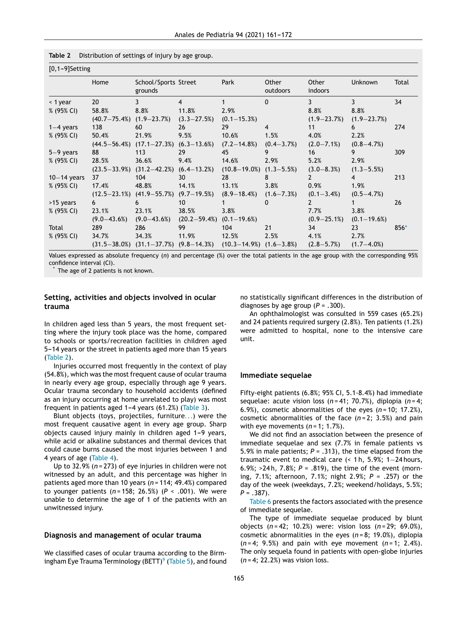$\overline{0,1,-1}$ settinga  $\overline{0,1,-1}$ 

| $[0,1-9]$ Setting |                 |                                                |                  |                               |                   |                  |                  |        |  |
|-------------------|-----------------|------------------------------------------------|------------------|-------------------------------|-------------------|------------------|------------------|--------|--|
|                   | Home            | School/Sports Street<br>grounds                |                  | Park                          | Other<br>outdoors | Other<br>indoors | Unknown          | Total  |  |
| $<$ 1 year        | 20              | $\overline{3}$                                 | $\overline{4}$   |                               | $\mathbf{0}$      | 3                | 3                | 34     |  |
| % (95% CI)        | 58.8%           | 8.8%                                           | 11.8%            | 2.9%                          |                   | 8.8%             | 8.8%             |        |  |
|                   |                 | $(40.7-75.4%)$ $(1.9-23.7%)$                   | $(3.3 - 27.5%)$  | $(0.1 - 15.3\%)$              |                   | $(1.9 - 23.7%)$  | $(1.9 - 23.7%)$  |        |  |
| $1-4$ years       | 138             | 60                                             | 26               | 29                            | $\overline{4}$    | 11               | 6                | 274    |  |
| % (95% CI)        | 50.4%           | 21.9%                                          | 9.5%             | 10.6%                         | 1.5%              | 4.0%             | 2.2%             |        |  |
|                   |                 | $(44.5-56.4%)$ $(17.1-27.3%)$ $(6.3-13.6%)$    |                  | $(7.2 - 14.8\%)$              | $(0.4 - 3.7\%)$   | $(2.0 - 7.1\%)$  | $(0.8 - 4.7\%)$  |        |  |
| $5-9$ years       | 88              | 113                                            | 29               | 45                            | 9                 | 16               | 9                | 309    |  |
| $% (95\% CI)$     | 28.5%           | 36.6%                                          | 9.4%             | 14.6%                         | 2.9%              | 5.2%             | 2.9%             |        |  |
|                   |                 | $(23.5-33.9%)$ $(31.2-42.2%)$ $(6.4-13.2%)$    |                  | $(10.8-19.0\%)$ $(1.3-5.5\%)$ |                   | $(3.0 - 8.3%)$   | $(1.3 - 5.5\%)$  |        |  |
| $10-14$ years     | 37              | 104                                            | 30               | 28                            | 8                 | $\mathbf{2}$     | $\overline{4}$   | 213    |  |
| % (95% CI)        | 17.4%           | 48.8%                                          | 14.1%            | 13.1%                         | 3.8%              | 0.9%             | 1.9%             |        |  |
|                   |                 | $(12.5-23.1\%)$ $(41.9-55.7\%)$ $(9.7-19.5\%)$ |                  | $(8.9 - 18.4\%)$              | $(1.6 - 7.3%)$    | $(0.1 - 3.4\%)$  | $(0.5 - 4.7\%)$  |        |  |
| >15 years         | 6               | 6                                              | 10 <sup>°</sup>  |                               | 0                 | 2                |                  | 26     |  |
| % (95% CI)        | 23.1%           | 23.1%                                          | 38.5%            | 3.8%                          |                   | 7.7%             | 3.8%             |        |  |
|                   | $(9.0 - 43.6%)$ | $(9.0 - 43.6\%)$                               | $(20.2 - 59.4%)$ | $(0.1 - 19.6\%)$              |                   | $(0.9 - 25.1\%)$ | $(0.1 - 19.6\%)$ |        |  |
| Total             | 289             | 286                                            | 99               | 104                           | 21                | 34               | 23               | $856*$ |  |
| % (95% CI)        | 34.7%           | 34.3%                                          | 11.9%            | 12.5%                         | 2.5%              | 4.1%             | 2.7%             |        |  |
|                   |                 | $(31.5-38.0\%)$ $(31.1-37.7\%)$ $(9.8-14.3\%)$ |                  | $(10.3-14.9%)$ $(1.6-3.8%)$   |                   | $(2.8 - 5.7%)$   | $(1.7 - 4.0\%)$  |        |  |

Values expressed as absolute frequency (*n*) and percentage (%) over the total patients in the age group with the corresponding 95% confidence interval (CI).

The age of 2 patients is not known.

## **Setting, activities and objects involved in ocular trauma**

In children aged less than 5 years, the most frequent setting where the injury took place was the home, compared to schools or sports/recreation facilities in children aged 5-14 years or the street in patients aged more than 15 years (Table 2).

Injuries occurred most frequently in the context of play (54.8%), which was the most frequent cause of ocular trauma in nearly every age group, especially through age 9 years. Ocular trauma secondary to household accidents (defined as an injury occurring at home unrelated to play) was most frequent in patients aged  $1-4$  years (61.2%) [\(Table](#page-5-0) 3).

Blunt objects (toys, projectiles, furniture. . .) were the most frequent causative agent in every age group. Sharp objects caused injury mainly in children aged 1-9 years, while acid or alkaline substances and thermal devices that could cause burns caused the most injuries between 1 and 4 years of age ([Table](#page-6-0) 4).

Up to 32.9% (*n* = 273) of eye injuries in children were not witnessed by an adult, and this percentage was higher in patients aged more than 10 years (*n* = 114; 49.4%) compared to younger patients (*n* = 158; 26.5%) (*P* < .001). We were unable to determine the age of 1 of the patients with an unwitnessed injury.

#### **Diagnosis and management of ocular trauma**

We classified cases of ocular trauma according to the Birm-ingham Eye Trauma Terminology [\(](#page-10-0)BETT)<sup>9</sup> ([Table](#page-7-0) 5), and found

no statistically significant differences in the distribution of diagnoses by age group  $(P = .300)$ .

An ophthalmologist was consulted in 559 cases (65.2%) and 24 patients required surgery (2.8%). Ten patients (1.2%) were admitted to hospital, none to the intensive care unit.

#### **Immediate sequelae**

Fifty-eight patients (6.8%; 95% CI, 5.1-8.4%) had immediate sequelae: acute vision loss (*n* = 41; 70.7%), diplopia (*n* = 4; 6.9%), cosmetic abnormalities of the eyes (*n* = 10; 17.2%), cosmetic abnormalities of the face (*n* = 2; 3.5%) and pain with eye movements  $(n=1; 1.7\%)$ .

We did not find an association between the presence of immediate sequelae and sex (7.7% in female patients vs 5.9% in male patients; *P* = .313), the time elapsed from the traumatic event to medical care (< 1 h, 5.9%; 1−24 hours, 6.9%; >24 h, 7.8%; *P* = .819), the time of the event (morning, 7.1%; afternoon, 7.1%; night 2.9%; *P* = .257) or the day of the week (weekdays, 7.2%; weekend/holidays, 5.5%; *P* = .387).

[Table](#page-8-0) 6 presents the factors associated with the presence of immediate sequelae.

The type of immediate sequelae produced by blunt objects (*n* = 42; 10.2%) were: vision loss (*n* = 29; 69.0%), cosmetic abnormalities in the eyes (*n* = 8; 19.0%), diplopia (*n* = 4; 9.5%) and pain with eye movement (*n* = 1; 2.4%). The only sequela found in patients with open-globe injuries (*n* = 4; 22.2%) was vision loss.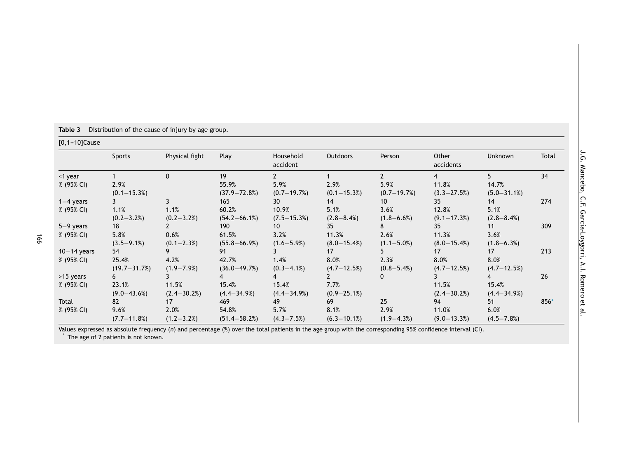| $[0, 1-10]$ Cause |                  |                  |                   |                       |                  |                 |                    |                  |       |
|-------------------|------------------|------------------|-------------------|-----------------------|------------------|-----------------|--------------------|------------------|-------|
|                   | Sports           | Physical fight   | Play              | Household<br>accident | <b>Outdoors</b>  | Person          | Other<br>accidents | Unknown          | Total |
| <1 year           |                  | 0                | 19                | $\mathbf{2}$          |                  | $\mathcal{P}$   | 4                  | 5                | 34    |
| % (95% CI)        | 2.9%             |                  | 55.9%             | 5.9%                  | 2.9%             | 5.9%            | 11.8%              | 14.7%            |       |
|                   | $(0.1 - 15.3%)$  |                  | $(37.9 - 72.8%)$  | $(0.7-19.7%)$         | $(0.1 - 15.3%)$  | $(0.7-19.7%)$   | $(3.3 - 27.5%)$    | $(5.0 - 31.1\%)$ |       |
| $1-4$ years       |                  | 3                | 165               | 30                    | 14               | 10 <sup>°</sup> | 35                 | 14               | 274   |
| % (95% CI)        | 1.1%             | 1.1%             | 60.2%             | 10.9%                 | 5.1%             | 3.6%            | 12.8%              | 5.1%             |       |
|                   | $(0.2 - 3.2\%)$  | $(0.2 - 3.2\%)$  | $(54.2 - 66.1\%)$ | $(7.5 - 15.3%)$       | $(2.8 - 8.4%)$   | $(1.8 - 6.6\%)$ | $(9.1 - 17.3%)$    | $(2.8 - 8.4\%)$  |       |
| $5-9$ years       | 18               |                  | 190               | 10                    | 35               | 8               | 35                 | 11               | 309   |
| % (95% CI)        | 5.8%             | 0.6%             | 61.5%             | 3.2%                  | 11.3%            | 2.6%            | 11.3%              | 3.6%             |       |
|                   | $(3.5 - 9.1\%)$  | $(0.1 - 2.3\%)$  | $(55.8 - 66.9%)$  | $(1.6 - 5.9\%)$       | $(8.0 - 15.4%)$  | $(1.1 - 5.0\%)$ | $(8.0 - 15.4%)$    | $(1.8 - 6.3\%)$  |       |
| $10-14$ years     | 54               |                  | 91                | 3                     | 17               |                 | 17                 | 17               | 213   |
| % (95% CI)        | 25.4%            | 4.2%             | 42.7%             | 1.4%                  | 8.0%             | 2.3%            | 8.0%               | 8.0%             |       |
|                   | $(19.7 - 31.7%)$ | $(1.9 - 7.9\%)$  | $(36.0 - 49.7%)$  | $(0.3 - 4.1\%)$       | $(4.7 - 12.5%)$  | $(0.8 - 5.4\%)$ | $(4.7 - 12.5%)$    | $(4.7 - 12.5%)$  |       |
| >15 years         | 6                | 3                | 4                 | 4                     | $\mathbf{2}$     | 0               | 3                  | 4                | 26    |
| % (95% CI)        | 23.1%            | 11.5%            | 15.4%             | 15.4%                 | 7.7%             |                 | 11.5%              | 15.4%            |       |
|                   | $(9.0 - 43.6%)$  | $(2.4 - 30.2\%)$ | $(4.4 - 34.9\%)$  | $(4.4 - 34.9\%)$      | $(0.9 - 25.1\%)$ |                 | $(2.4 - 30.2\%)$   | $(4.4 - 34.9\%)$ |       |
| Total             | 82               | 17               | 469               | 49                    | 69               | 25              | 94                 | 51               | 856*  |
| % (95% CI)        | 9.6%             | 2.0%             | 54.8%             | 5.7%                  | 8.1%             | 2.9%            | 11.0%              | 6.0%             |       |
|                   | $(7.7 - 11.8%)$  | $(1.2 - 3.2\%)$  | $(51.4 - 58.2%)$  | $(4.3 - 7.5\%)$       | $(6.3 - 10.1\%)$ | $(1.9 - 4.3\%)$ | $(9.0 - 13.3%)$    | $(4.5 - 7.8%)$   |       |

<span id="page-5-0"></span>**Table 3** Distribution of the cause of injury by age group.

Values expressed as absolute frequency (*n*) and percentage (%) over the total patients in the age group with the corresponding 95% confidence interval (CI). \* The age of 2 patients is not known.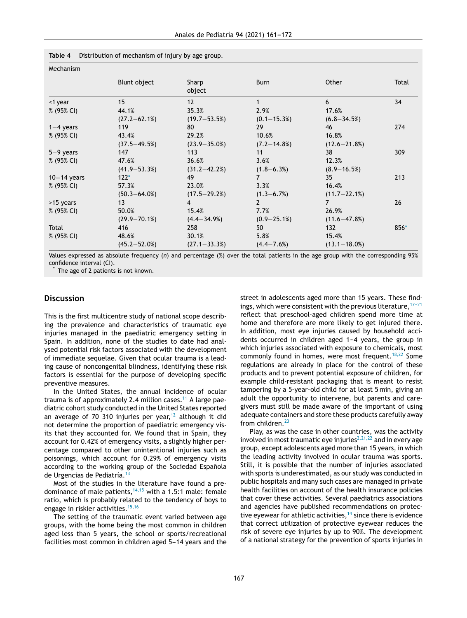<span id="page-6-0"></span>

|  |  |  | Table 4 Distribution of mechanism of injury by age group. |  |  |  |  |  |
|--|--|--|-----------------------------------------------------------|--|--|--|--|--|
|--|--|--|-----------------------------------------------------------|--|--|--|--|--|

| Mechanism     |                   |                   |                  |                   |        |
|---------------|-------------------|-------------------|------------------|-------------------|--------|
|               | Blunt object      | Sharp<br>object   | Burn             | Other             | Total  |
| <1 year       | 15                | 12                | 1                | 6                 | 34     |
| % (95% CI)    | 44.1%             | 35.3%             | 2.9%             | 17.6%             |        |
|               | $(27.2 - 62.1%)$  | $(19.7 - 53.5%)$  | $(0.1 - 15.3%)$  | $(6.8 - 34.5%)$   |        |
| $1-4$ years   | 119               | 80                | 29               | 46                | 274    |
| % (95% CI)    | 43.4%             | 29.2%             | 10.6%            | 16.8%             |        |
|               | $(37.5 - 49.5%)$  | $(23.9 - 35.0\%)$ | $(7.2 - 14.8%)$  | $(12.6 - 21.8%)$  |        |
| $5-9$ years   | 147               | 113               | 11               | 38                | 309    |
| % (95% CI)    | 47.6%             | 36.6%             | 3.6%             | 12.3%             |        |
|               | $(41.9 - 53.3%)$  | $(31.2 - 42.2%)$  | $(1.8 - 6.3%)$   | $(8.9 - 16.5%)$   |        |
| $10-14$ years | $122*$            | 49                | $\overline{7}$   | 35                | 213    |
| % (95% CI)    | 57.3%             | 23.0%             | 3.3%             | 16.4%             |        |
|               | $(50.3 - 64.0\%)$ | $(17.5 - 29.2%)$  | $(1.3 - 6.7%)$   | $(11.7 - 22.1\%)$ |        |
| >15 years     | 13                | 4                 | $\overline{2}$   | 7                 | 26     |
| % (95% CI)    | 50.0%             | 15.4%             | 7.7%             | 26.9%             |        |
|               | $(29.9 - 70.1\%)$ | $(4.4 - 34.9\%)$  | $(0.9 - 25.1\%)$ | $(11.6 - 47.8%)$  |        |
| Total         | 416               | 258               | 50               | 132               | $856*$ |
| % (95% CI)    | 48.6%             | 30.1%             | 5.8%             | 15.4%             |        |
|               | $(45.2 - 52.0\%)$ | $(27.1 - 33.3%)$  | $(4.4 - 7.6%)$   | $(13.1 - 18.0\%)$ |        |

Values expressed as absolute frequency (*n*) and percentage (%) over the total patients in the age group with the corresponding 95% confidence interval (CI).

The age of 2 patients is not known.

## **Discussion**

This is the first multicentre study of national scope describing the prevalence and characteristics of traumatic eye injuries managed in the paediatric emergency setting in Spain. In addition, none of the studies to date had analysed potential risk factors associated with the development of immediate sequelae. Given that ocular trauma is a leading cause of noncongenital blindness, identifying these risk factors is essential for the purpose of developing specific preventive measures.

In the United States, the annual incidence of ocular trauma is of approximately 2.4 million cases.<sup>[11](#page-10-0)</sup> A large paediatric cohort study conducted in the United States reported an average of 70 310 injuries per year,<sup>[12](#page-10-0)</sup> although it did not determine the proportion of paediatric emergency visits that they accounted for. We found that in Spain, they account for 0.42% of emergency visits, a slightly higher percentage compared to other unintentional injuries such as poisonings, which account for 0.29% of emergency visits according to the working group of the Sociedad Española de Urgencias de Pediatría.<sup>[13](#page-10-0)</sup>

Most of the studies in the literature have found a predominance of male patients,  $14,15$  with a 1.5:1 male: female ratio, which is probably related to the tendency of boys to engage in riskier activities.<sup>[15,16](#page-10-0)</sup>

The setting of the traumatic event varied between age groups, with the home being the most common in children aged less than 5 years, the school or sports/recreational facilities most common in children aged 5-14 years and the street in adolescents aged more than 15 years. These findings, which were consistent with the previous literature,  $17-21$ reflect that preschool-aged children spend more time at home and therefore are more likely to get injured there. In addition, most eye injuries caused by household accidents occurred in children aged  $1-4$  years, the group in which injuries associated with exposure to chemicals, most commonly found in homes, were most frequent.<sup>[18,22](#page-10-0)</sup> Some regulations are already in place for the control of these products and to prevent potential exposure of children, for example child-resistant packaging that is meant to resist tampering by a 5-year-old child for at least 5 min, giving an adult the opportunity to intervene, but parents and caregivers must still be made aware of the important of using adequate containers and store these products carefully away from children.<sup>[23](#page-10-0)</sup>

Play, as was the case in other countries, was the activity involved in most traumatic eye injuries<sup>[2,21,22](#page-10-0)</sup> and in every age group, except adolescents aged more than 15 years, in which the leading activity involved in ocular trauma was sports. Still, it is possible that the number of injuries associated with sports is underestimated, as our study was conducted in public hospitals and many such cases are managed in private health facilities on account of the health insurance policies that cover these activities. Several paediatrics associations and agencies have published recommendations on protective eyewear for athletic activities, $14$  since there is evidence that correct utilization of protective eyewear reduces the risk of severe eye injuries by up to 90%. The development of a national strategy for the prevention of sports injuries in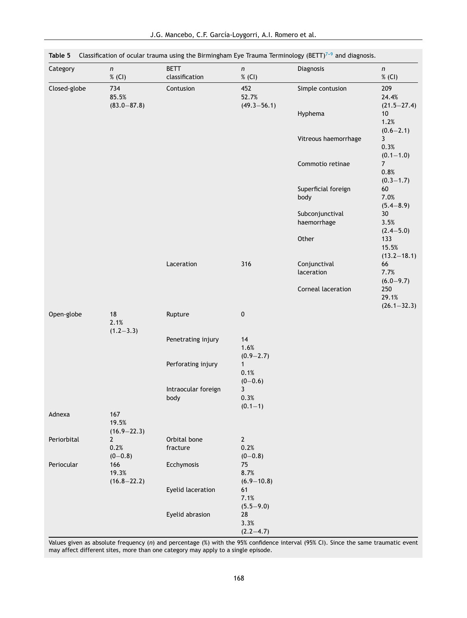| Category     | n<br>% (CI)                         | <b>BETT</b><br>classification | n<br>% (CI)                         | Diagnosis                      | n<br>% (CI)                             |
|--------------|-------------------------------------|-------------------------------|-------------------------------------|--------------------------------|-----------------------------------------|
| Closed-globe | 734<br>85.5%<br>$(83.0 - 87.8)$     | Contusion                     | 452<br>52.7%<br>$(49.3 - 56.1)$     | Simple contusion               | 209<br>24.4%<br>$(21.5 - 27.4)$         |
|              |                                     |                               |                                     | Hyphema                        | 10<br>1.2%<br>$(0.6 - 2.1)$             |
|              |                                     |                               |                                     | Vitreous haemorrhage           | 3<br>0.3%<br>$(0.1 - 1.0)$              |
|              |                                     |                               |                                     | Commotio retinae               | $\overline{7}$<br>0.8%<br>$(0.3 - 1.7)$ |
|              |                                     |                               |                                     | Superficial foreign<br>body    | 60<br>7.0%<br>$(5.4 - 8.9)$             |
|              |                                     |                               |                                     | Subconjunctival<br>haemorrhage | 30<br>3.5%<br>$(2.4 - 5.0)$             |
|              |                                     |                               |                                     | Other                          | 133<br>15.5%<br>$(13.2 - 18.1)$         |
|              |                                     | Laceration                    | 316                                 | Conjunctival<br>laceration     | 66<br>7.7%<br>$(6.0 - 9.7)$             |
|              |                                     |                               |                                     | Corneal laceration             | 250<br>29.1%<br>$(26.1 - 32.3)$         |
| Open-globe   | 18<br>2.1%<br>$(1.2 - 3.3)$         | Rupture                       | $\pmb{0}$                           |                                |                                         |
|              |                                     | Penetrating injury            | 14<br>1.6%<br>$(0.9 - 2.7)$         |                                |                                         |
|              |                                     | Perforating injury            | $\mathbf{1}$<br>0.1%<br>$(0 - 0.6)$ |                                |                                         |
|              |                                     | Intraocular foreign<br>body   | 3<br>0.3%<br>$(0.1 - 1)$            |                                |                                         |
| Adnexa       | 167<br>19.5%<br>$(16.9 - 22.3)$     |                               |                                     |                                |                                         |
| Periorbital  | $\mathbf{2}$<br>0.2%<br>$(0 - 0.8)$ | Orbital bone<br>fracture      | $\mathbf{2}$<br>0.2%<br>$(0 - 0.8)$ |                                |                                         |
| Periocular   | 166<br>19.3%<br>$(16.8 - 22.2)$     | Ecchymosis                    | 75<br>8.7%<br>$(6.9 - 10.8)$        |                                |                                         |
|              |                                     | Eyelid laceration             | 61<br>7.1%<br>$(5.5 - 9.0)$         |                                |                                         |
|              |                                     | Eyelid abrasion               | 28<br>3.3%<br>$(2.2 - 4.7)$         |                                |                                         |

<span id="page-7-0"></span>**Table <b>5** Classification of ocular trauma using the Birmingham Eye Trauma Terminology (BETT)<sup>7-9</sup> and diagnosis.

Values given as absolute frequency (*n*) and percentage (%) with the 95% confidence interval (95% CI). Since the same traumatic event may affect different sites, more than one category may apply to a single episode.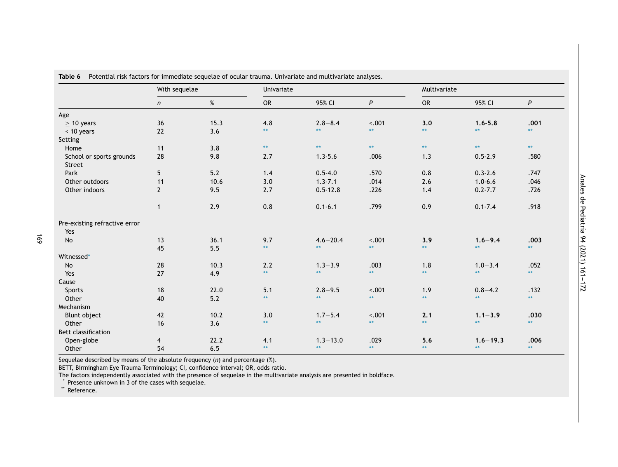|                               | With sequelae  |       | Univariate   |              |              |              | Multivariate |              |
|-------------------------------|----------------|-------|--------------|--------------|--------------|--------------|--------------|--------------|
|                               | n              | $\%$  | <b>OR</b>    | 95% CI       | P            | <b>OR</b>    | 95% CI       | P            |
| Age                           |                |       |              |              |              |              |              |              |
| $\geq$ 10 years               | 36             | 15.3  | 4.8          | $2.8 - 8.4$  | $-.001$      | 3.0          | $1.6 - 5.8$  | .001         |
| < 10 years                    | 22             | 3.6   | **           | $**$         | $\star\star$ | $\star\star$ | $**$         | $\star\star$ |
| Setting                       |                |       |              |              |              |              |              |              |
| Home                          | 11             | 3.8   | $**$         | $\star\star$ | $**$         | $**$         | $\star\star$ | $**$         |
| School or sports grounds      | 28             | 9.8   | 2.7          | $1.3 - 5.6$  | .006         | 1.3          | $0.5 - 2.9$  | .580         |
| Street                        |                |       |              |              |              |              |              |              |
| Park                          | 5              | 5.2   | 1.4          | $0.5 - 4.0$  | .570         | 0.8          | $0.3 - 2.6$  | .747         |
| Other outdoors                | 11             | 10.6  | 3.0          | $1.3 - 7.1$  | .014         | 2.6          | $1.0 - 6.6$  | .046         |
| Other indoors                 | $\overline{2}$ | 9.5   | 2.7          | $0.5 - 12.8$ | .226         | 1.4          | $0.2 - 7.7$  | .726         |
|                               |                |       |              |              |              |              |              |              |
|                               | $\mathbf{1}$   | 2.9   | 0.8          | $0.1 - 6.1$  | .799         | 0.9          | $0.1 - 7.4$  | .918         |
| Pre-existing refractive error |                |       |              |              |              |              |              |              |
| Yes                           |                |       |              |              |              |              |              |              |
| No                            | 13             | 36.1  | 9.7          | $4.6 - 20.4$ | $-.001$      | 3.9          | $1.6 - 9.4$  | .003         |
|                               | 45             | 5.5   | $\star\star$ | $\star\star$ | $\star\star$ | $\star\star$ | $**$         | $\star\star$ |
| Witnessed*                    |                |       |              |              |              |              |              |              |
| No                            | 28             | 10.3  | 2.2          | $1.3 - 3.9$  | .003         | 1.8          | $1.0 - 3.4$  | .052         |
| Yes                           | 27             | 4.9   | $**$         | $\star\star$ | $**$         | $**$         | $**$         | $**$         |
| Cause                         |                |       |              |              |              |              |              |              |
| Sports                        | 18             | 22.0  | 5.1          | $2.8 - 9.5$  | $-.001$      | 1.9          | $0.8 - 4.2$  | .132         |
| Other                         | 40             | $5.2$ | $**$         | $\star\star$ | $\star\star$ | $**$         | $\star\star$ | $\star\star$ |
| Mechanism                     |                |       |              |              |              |              |              |              |
| Blunt object                  | 42             | 10.2  | 3.0          | $1.7 - 5.4$  | $-.001$      | 2.1          | $1.1 - 3.9$  | .030         |
| Other                         | 16             | 3.6   | $**$         | $\star\star$ | $**$         | $**$         | $**$         | $**$         |
| Bett classification           |                |       |              |              |              |              |              |              |
| Open-globe                    | 4              | 22.2  | 4.1          | $1.3 - 13.0$ | .029         | 5.6          | $1.6 - 19.3$ | .006         |
| Other                         | 54             | 6.5   | $**$         | $\star\star$ | $**$         | $**$         | $**$         | $\star\star$ |

<span id="page-8-0"></span>**Table 6** Potential risk factors for immediate sequelae of ocular trauma. Univariate and multivariate analyses.

Sequelae described by means of the absolute frequency (*n*) and percentage (%).

BETT, Birmingham Eye Trauma Terminology; CI, confidence interval; OR, odds ratio.

The factors independently associated with the presence of sequelae in the multivariate analysis are presented in boldface.

\* Presence unknown in 3 of the cases with sequelae.

\*\* Reference.

169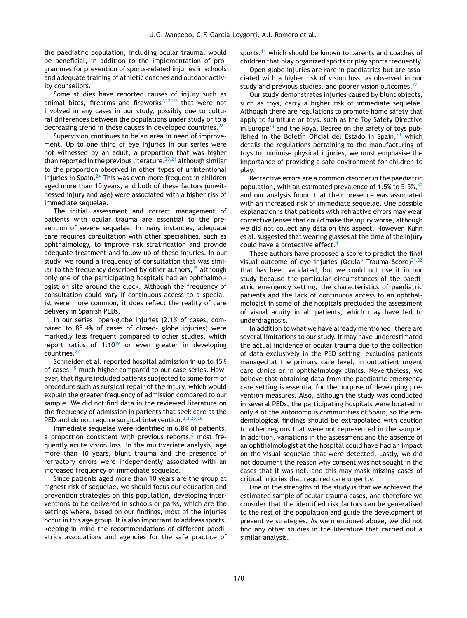the paediatric population, including ocular trauma, would be beneficial, in addition to the implementation of programmes for prevention of sports-related injuries in schools and adequate training of athletic coaches and outdoor activity counsellors.

Some studies have reported causes of injury such as animal bites, firearms and fireworks<sup>[2,12,20](#page-10-0)</sup> that were not involved in any cases in our study, possibly due to cultural differences between the populations under study or to a decreasing trend in these causes in developed countries.  $22$ 

Supervision continues to be an area in need of improvement. Up to one third of eye injuries in our series were not witnessed by an adult, a proportion that was higher than reported in the previous literature,  $20,21$  although similar to the proportion observed in other types of unintentional injuries in Spain. $24$  This was even more frequent in children aged more than 10 years, and both of these factors (unwitnessed injury and age) were associated with a higher risk of immediate sequelae.

The initial assessment and correct management of patients with ocular trauma are essential to the prevention of severe sequalae. In many instances, adequate care requires consultation with other specialities, such as ophthalmology, to improve risk stratification and provide adequate treatment and follow-up of these injuries. In our study, we found a frequency of consultation that was similar to the frequency described by other authors,  $15$  although only one of the participating hospitals had an ophthalmologist on site around the clock. Although the frequency of consultation could vary if continuous access to a specialist were more common, it does reflect the reality of care delivery in Spanish PEDs.

In our series, open-globe injuries (2.1% of cases, compared to 85.4% of cases of closed- globe injuries) were markedly less frequent compared to other studies, which report ratios of  $1:10^{19}$  $1:10^{19}$  $1:10^{19}$  or even greater in developing countries.<sup>[22](#page-10-0)</sup>

Schneider et al. reported hospital admission in up to 15% of cases,<sup>[15](#page-10-0)</sup> much higher compared to our case series. However, that figure included patients subjected to some form of procedure such as surgical repair of the injury, which would explain the greater frequency of admission compared to our sample. We did not find data in the reviewed literature on the frequency of admission in patients that seek care at the PED and do not require surgical intervention.<sup>[2,3,25,26](#page-10-0)</sup>

Immediate sequelae were identified in 6.8% of patients, a proportion consistent with previous reports, $6 \text{ most fre-}$  $6 \text{ most fre-}$ quently acute vision loss. In the multivariate analysis, age more than 10 years, blunt trauma and the presence of refractory errors were independently associated with an increased frequency of immediate sequelae.

Since patients aged more than 10 years are the group at highest risk of sequelae, we should focus our education and prevention strategies on this population, developing interventions to be delivered in schools or parks, which are the settings where, based on our findings, most of the injuries occur in this age group. It is also important to address sports, keeping in mind the recommendations of different paediatrics associations and agencies for the safe practice of sports,<sup>[14](#page-10-0)</sup> which should be known to parents and coaches of children that play organized sports or play sports frequently.

Open-globe injuries are rare in paediatrics but are associated with a higher risk of vision loss, as observed in our study and previous studies, and poorer vision outcomes.<sup>[27](#page-10-0)</sup>

Our study demonstrates injuries caused by blunt objects, such as toys, carry a higher risk of immediate sequelae. Although there are regulations to promote home safety that apply to furniture or toys, such as the Toy Safety Directive in Europe $^{28}$  $^{28}$  $^{28}$  and the Royal Decree on the safety of toys published in the Boletin Oficial del Estado in Spain, $29$  which details the regulations pertaining to the manufacturing of toys to minimise physical injuries, we must emphasise the importance of providing a safe environment for children to play.

Refractive errors are a common disorder in the paediatric population, with an estimated prevalence of 1.5% to 5.5%,  $30$ and our analysis found that their presence was associated with an increased risk of immediate sequelae. One possible explanation is that patients with refractive errors may wear corrective lenses that could make the injury worse, although we did not collect any data on this aspect. However, Kuhn et al. suggested that wearing glasses at the time of the injury could have a protective effect.<sup>[1](#page-10-0)</sup>

These authors have proposed a score to predict the final visual outcome of eye injuries (Ocular Trauma Score) $31,32$ that has been validated, but we could not use it in our study because the particular circumstances of the paediatric emergency setting, the characteristics of paediatric patients and the lack of continuous access to an ophthalmologist in some of the hospitals precluded the assessment of visual acuity in all patients, which may have led to underdiagnosis.

In addition to what we have already mentioned, there are several limitations to our study. It may have underestimated the actual incidence of ocular trauma due to the collection of data exclusively in the PED setting, excluding patients managed at the primary care level, in outpatient urgent care clinics or in ophthalmology clinics. Nevertheless, we believe that obtaining data from the paediatric emergency care setting is essential for the purpose of developing prevention measures. Also, although the study was conducted in several PEDs, the participating hospitals were located in only 4 of the autonomous communities of Spain, so the epidemiological findings should be extrapolated with caution to other regions that were not represented in the sample. In addition, variations in the assessment and the absence of an ophthalmologist at the hospital could have had an impact on the visual sequelae that were detected. Lastly, we did not document the reason why consent was not sought in the cases that it was not, and this may mask missing cases of critical injuries that required care urgently.

One of the strengths of the study is that we achieved the estimated sample of ocular trauma cases, and therefore we consider that the identified risk factors can be generalised to the rest of the population and guide the development of preventive strategies. As we mentioned above, we did not find any other studies in the literature that carried out a similar analysis.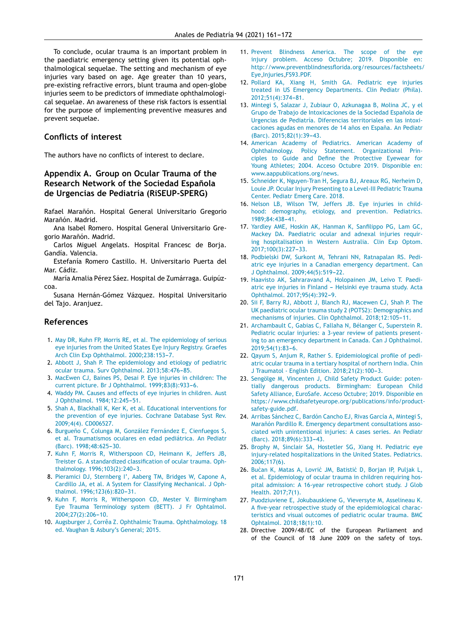<span id="page-10-0"></span>To conclude, ocular trauma is an important problem in the paediatric emergency setting given its potential ophthalmological sequelae. The setting and mechanism of eye injuries vary based on age. Age greater than 10 years, pre-existing refractive errors, blunt trauma and open-globe injuries seem to be predictors of immediate ophthalmological sequelae. An awareness of these risk factors is essential for the purpose of implementing preventive measures and prevent sequelae.

## **Conflicts of interest**

The authors have no conflicts of interest to declare.

# **Appendix A. Group on Ocular Trauma of the Research Network of the Sociedad Española de Urgencias de Pediatría (RiSEUP-SPERG)**

Rafael Marañón. Hospital General Universitario Gregorio Marañón. Madrid.

- Ana Isabel Romero. Hospital General Universitario Gregorio Marañón. Madrid.
- Carlos Miguel Angelats. Hospital Francesc de Borja. Gandía. Valencia.
- Estefanía Romero Castillo. H. Universitario Puerta del Mar. Cádiz.

María Amalia Pérez Sáez. Hospital de Zumárraga. Guipúzcoa.

Susana Hernán-Gómez Vázquez. Hospital Universitario del Tajo. Aranjuez.

## **References**

- 1. [May](http://refhub.elsevier.com/S2341-2879(21)00008-9/sbref0005) [DR,](http://refhub.elsevier.com/S2341-2879(21)00008-9/sbref0005) [Kuhn](http://refhub.elsevier.com/S2341-2879(21)00008-9/sbref0005) [FP,](http://refhub.elsevier.com/S2341-2879(21)00008-9/sbref0005) [Morris](http://refhub.elsevier.com/S2341-2879(21)00008-9/sbref0005) [RE,](http://refhub.elsevier.com/S2341-2879(21)00008-9/sbref0005) [et](http://refhub.elsevier.com/S2341-2879(21)00008-9/sbref0005) [al.](http://refhub.elsevier.com/S2341-2879(21)00008-9/sbref0005) [The](http://refhub.elsevier.com/S2341-2879(21)00008-9/sbref0005) [epidemiology](http://refhub.elsevier.com/S2341-2879(21)00008-9/sbref0005) [of](http://refhub.elsevier.com/S2341-2879(21)00008-9/sbref0005) [serious](http://refhub.elsevier.com/S2341-2879(21)00008-9/sbref0005) [eye](http://refhub.elsevier.com/S2341-2879(21)00008-9/sbref0005) [injuries](http://refhub.elsevier.com/S2341-2879(21)00008-9/sbref0005) [from](http://refhub.elsevier.com/S2341-2879(21)00008-9/sbref0005) [the](http://refhub.elsevier.com/S2341-2879(21)00008-9/sbref0005) [United](http://refhub.elsevier.com/S2341-2879(21)00008-9/sbref0005) [States](http://refhub.elsevier.com/S2341-2879(21)00008-9/sbref0005) [Eye](http://refhub.elsevier.com/S2341-2879(21)00008-9/sbref0005) [Injury](http://refhub.elsevier.com/S2341-2879(21)00008-9/sbref0005) [Registry.](http://refhub.elsevier.com/S2341-2879(21)00008-9/sbref0005) [Graefes](http://refhub.elsevier.com/S2341-2879(21)00008-9/sbref0005) [Arch](http://refhub.elsevier.com/S2341-2879(21)00008-9/sbref0005) [Clin](http://refhub.elsevier.com/S2341-2879(21)00008-9/sbref0005) [Exp](http://refhub.elsevier.com/S2341-2879(21)00008-9/sbref0005) [Ophthalmol.](http://refhub.elsevier.com/S2341-2879(21)00008-9/sbref0005) 2000;238:153-7.
- 2. [Abbott](http://refhub.elsevier.com/S2341-2879(21)00008-9/sbref0010) [J,](http://refhub.elsevier.com/S2341-2879(21)00008-9/sbref0010) [Shah](http://refhub.elsevier.com/S2341-2879(21)00008-9/sbref0010) [P.](http://refhub.elsevier.com/S2341-2879(21)00008-9/sbref0010) [The](http://refhub.elsevier.com/S2341-2879(21)00008-9/sbref0010) [epidemiology](http://refhub.elsevier.com/S2341-2879(21)00008-9/sbref0010) [and](http://refhub.elsevier.com/S2341-2879(21)00008-9/sbref0010) [etiology](http://refhub.elsevier.com/S2341-2879(21)00008-9/sbref0010) [of](http://refhub.elsevier.com/S2341-2879(21)00008-9/sbref0010) [pediatric](http://refhub.elsevier.com/S2341-2879(21)00008-9/sbref0010) [ocular](http://refhub.elsevier.com/S2341-2879(21)00008-9/sbref0010) [trauma.](http://refhub.elsevier.com/S2341-2879(21)00008-9/sbref0010) [Surv](http://refhub.elsevier.com/S2341-2879(21)00008-9/sbref0010) [Ophthalmol.](http://refhub.elsevier.com/S2341-2879(21)00008-9/sbref0010) [2013;58:476](http://refhub.elsevier.com/S2341-2879(21)00008-9/sbref0010)[-85.](http://refhub.elsevier.com/S2341-2879(21)00008-9/sbref0010)
- 3. [MacEwen](http://refhub.elsevier.com/S2341-2879(21)00008-9/sbref0015) [CJ,](http://refhub.elsevier.com/S2341-2879(21)00008-9/sbref0015) [Baines](http://refhub.elsevier.com/S2341-2879(21)00008-9/sbref0015) [PS,](http://refhub.elsevier.com/S2341-2879(21)00008-9/sbref0015) [Desai](http://refhub.elsevier.com/S2341-2879(21)00008-9/sbref0015) [P.](http://refhub.elsevier.com/S2341-2879(21)00008-9/sbref0015) [Eye](http://refhub.elsevier.com/S2341-2879(21)00008-9/sbref0015) [injuries](http://refhub.elsevier.com/S2341-2879(21)00008-9/sbref0015) [in](http://refhub.elsevier.com/S2341-2879(21)00008-9/sbref0015) [children:](http://refhub.elsevier.com/S2341-2879(21)00008-9/sbref0015) [The](http://refhub.elsevier.com/S2341-2879(21)00008-9/sbref0015) [current](http://refhub.elsevier.com/S2341-2879(21)00008-9/sbref0015) [picture.](http://refhub.elsevier.com/S2341-2879(21)00008-9/sbref0015) [Br](http://refhub.elsevier.com/S2341-2879(21)00008-9/sbref0015) [J](http://refhub.elsevier.com/S2341-2879(21)00008-9/sbref0015) [Ophthalmol.](http://refhub.elsevier.com/S2341-2879(21)00008-9/sbref0015) [1999;83\(8\):933](http://refhub.elsevier.com/S2341-2879(21)00008-9/sbref0015)-[6.](http://refhub.elsevier.com/S2341-2879(21)00008-9/sbref0015)
- 4. [Waddy](http://refhub.elsevier.com/S2341-2879(21)00008-9/sbref0020) [PM.](http://refhub.elsevier.com/S2341-2879(21)00008-9/sbref0020) [Causes](http://refhub.elsevier.com/S2341-2879(21)00008-9/sbref0020) [and](http://refhub.elsevier.com/S2341-2879(21)00008-9/sbref0020) [effects](http://refhub.elsevier.com/S2341-2879(21)00008-9/sbref0020) [of](http://refhub.elsevier.com/S2341-2879(21)00008-9/sbref0020) [eye](http://refhub.elsevier.com/S2341-2879(21)00008-9/sbref0020) [injuries](http://refhub.elsevier.com/S2341-2879(21)00008-9/sbref0020) [in](http://refhub.elsevier.com/S2341-2879(21)00008-9/sbref0020) [children.](http://refhub.elsevier.com/S2341-2879(21)00008-9/sbref0020) [Aust](http://refhub.elsevier.com/S2341-2879(21)00008-9/sbref0020) [J](http://refhub.elsevier.com/S2341-2879(21)00008-9/sbref0020) [Ophthalmol.](http://refhub.elsevier.com/S2341-2879(21)00008-9/sbref0020) [1984;12:245](http://refhub.elsevier.com/S2341-2879(21)00008-9/sbref0020)-[51.](http://refhub.elsevier.com/S2341-2879(21)00008-9/sbref0020)
- 5. [Shah](http://refhub.elsevier.com/S2341-2879(21)00008-9/sbref0025) [A,](http://refhub.elsevier.com/S2341-2879(21)00008-9/sbref0025) [Blackhall](http://refhub.elsevier.com/S2341-2879(21)00008-9/sbref0025) [K,](http://refhub.elsevier.com/S2341-2879(21)00008-9/sbref0025) [Ker](http://refhub.elsevier.com/S2341-2879(21)00008-9/sbref0025) [K,](http://refhub.elsevier.com/S2341-2879(21)00008-9/sbref0025) [et](http://refhub.elsevier.com/S2341-2879(21)00008-9/sbref0025) [al.](http://refhub.elsevier.com/S2341-2879(21)00008-9/sbref0025) [Educational](http://refhub.elsevier.com/S2341-2879(21)00008-9/sbref0025) [interventions](http://refhub.elsevier.com/S2341-2879(21)00008-9/sbref0025) [for](http://refhub.elsevier.com/S2341-2879(21)00008-9/sbref0025) [the](http://refhub.elsevier.com/S2341-2879(21)00008-9/sbref0025) [prevention](http://refhub.elsevier.com/S2341-2879(21)00008-9/sbref0025) [of](http://refhub.elsevier.com/S2341-2879(21)00008-9/sbref0025) [eye](http://refhub.elsevier.com/S2341-2879(21)00008-9/sbref0025) [injuries.](http://refhub.elsevier.com/S2341-2879(21)00008-9/sbref0025) [Cochrane](http://refhub.elsevier.com/S2341-2879(21)00008-9/sbref0025) [Database](http://refhub.elsevier.com/S2341-2879(21)00008-9/sbref0025) [Syst](http://refhub.elsevier.com/S2341-2879(21)00008-9/sbref0025) [Rev.](http://refhub.elsevier.com/S2341-2879(21)00008-9/sbref0025) [2009;4\(4\).](http://refhub.elsevier.com/S2341-2879(21)00008-9/sbref0025) [CD006527.](http://refhub.elsevier.com/S2341-2879(21)00008-9/sbref0025)
- 6. Burgueño [C,](http://refhub.elsevier.com/S2341-2879(21)00008-9/sbref0030) [Colunga](http://refhub.elsevier.com/S2341-2879(21)00008-9/sbref0030) [M,](http://refhub.elsevier.com/S2341-2879(21)00008-9/sbref0030) [González](http://refhub.elsevier.com/S2341-2879(21)00008-9/sbref0030) [Fernández](http://refhub.elsevier.com/S2341-2879(21)00008-9/sbref0030) [E,](http://refhub.elsevier.com/S2341-2879(21)00008-9/sbref0030) [Cienfuegos](http://refhub.elsevier.com/S2341-2879(21)00008-9/sbref0030) [S,](http://refhub.elsevier.com/S2341-2879(21)00008-9/sbref0030) [et](http://refhub.elsevier.com/S2341-2879(21)00008-9/sbref0030) [al.](http://refhub.elsevier.com/S2341-2879(21)00008-9/sbref0030) [Traumatismos](http://refhub.elsevier.com/S2341-2879(21)00008-9/sbref0030) [oculares](http://refhub.elsevier.com/S2341-2879(21)00008-9/sbref0030) [en](http://refhub.elsevier.com/S2341-2879(21)00008-9/sbref0030) [edad](http://refhub.elsevier.com/S2341-2879(21)00008-9/sbref0030) [pediátrica.](http://refhub.elsevier.com/S2341-2879(21)00008-9/sbref0030) [An](http://refhub.elsevier.com/S2341-2879(21)00008-9/sbref0030) [Pediatr](http://refhub.elsevier.com/S2341-2879(21)00008-9/sbref0030) [\(Barc\).](http://refhub.elsevier.com/S2341-2879(21)00008-9/sbref0030) 1998;48:625-30.
- 7. [Kuhn](http://refhub.elsevier.com/S2341-2879(21)00008-9/sbref0035) [F,](http://refhub.elsevier.com/S2341-2879(21)00008-9/sbref0035) [Morris](http://refhub.elsevier.com/S2341-2879(21)00008-9/sbref0035) [R,](http://refhub.elsevier.com/S2341-2879(21)00008-9/sbref0035) [Witherspoon](http://refhub.elsevier.com/S2341-2879(21)00008-9/sbref0035) [CD,](http://refhub.elsevier.com/S2341-2879(21)00008-9/sbref0035) [Heimann](http://refhub.elsevier.com/S2341-2879(21)00008-9/sbref0035) [K,](http://refhub.elsevier.com/S2341-2879(21)00008-9/sbref0035) [Jeffers](http://refhub.elsevier.com/S2341-2879(21)00008-9/sbref0035) [JB,](http://refhub.elsevier.com/S2341-2879(21)00008-9/sbref0035) [Treister](http://refhub.elsevier.com/S2341-2879(21)00008-9/sbref0035) [G.](http://refhub.elsevier.com/S2341-2879(21)00008-9/sbref0035) [A](http://refhub.elsevier.com/S2341-2879(21)00008-9/sbref0035) [standardized](http://refhub.elsevier.com/S2341-2879(21)00008-9/sbref0035) [classification](http://refhub.elsevier.com/S2341-2879(21)00008-9/sbref0035) [of](http://refhub.elsevier.com/S2341-2879(21)00008-9/sbref0035) [ocular](http://refhub.elsevier.com/S2341-2879(21)00008-9/sbref0035) [trauma.](http://refhub.elsevier.com/S2341-2879(21)00008-9/sbref0035) [Oph](http://refhub.elsevier.com/S2341-2879(21)00008-9/sbref0035)[thalmology.](http://refhub.elsevier.com/S2341-2879(21)00008-9/sbref0035) 1996;103(2):240-3.
- 8. [Pieramici](http://refhub.elsevier.com/S2341-2879(21)00008-9/sbref0040) [DJ,](http://refhub.elsevier.com/S2341-2879(21)00008-9/sbref0040) [Sternberg](http://refhub.elsevier.com/S2341-2879(21)00008-9/sbref0040) [I',](http://refhub.elsevier.com/S2341-2879(21)00008-9/sbref0040) [Aaberg](http://refhub.elsevier.com/S2341-2879(21)00008-9/sbref0040) [TM,](http://refhub.elsevier.com/S2341-2879(21)00008-9/sbref0040) [Bridges](http://refhub.elsevier.com/S2341-2879(21)00008-9/sbref0040) [W,](http://refhub.elsevier.com/S2341-2879(21)00008-9/sbref0040) [Capone](http://refhub.elsevier.com/S2341-2879(21)00008-9/sbref0040) [A,](http://refhub.elsevier.com/S2341-2879(21)00008-9/sbref0040) [Cardillo](http://refhub.elsevier.com/S2341-2879(21)00008-9/sbref0040) [JA,](http://refhub.elsevier.com/S2341-2879(21)00008-9/sbref0040) [et](http://refhub.elsevier.com/S2341-2879(21)00008-9/sbref0040) [al.](http://refhub.elsevier.com/S2341-2879(21)00008-9/sbref0040) [A](http://refhub.elsevier.com/S2341-2879(21)00008-9/sbref0040) [System](http://refhub.elsevier.com/S2341-2879(21)00008-9/sbref0040) [for](http://refhub.elsevier.com/S2341-2879(21)00008-9/sbref0040) [Classifying](http://refhub.elsevier.com/S2341-2879(21)00008-9/sbref0040) [Mechanical.](http://refhub.elsevier.com/S2341-2879(21)00008-9/sbref0040) [J](http://refhub.elsevier.com/S2341-2879(21)00008-9/sbref0040) [Oph](http://refhub.elsevier.com/S2341-2879(21)00008-9/sbref0040)[thalmol.](http://refhub.elsevier.com/S2341-2879(21)00008-9/sbref0040) 1996;123(6):820-31.
- 9. [Kuhn](http://refhub.elsevier.com/S2341-2879(21)00008-9/sbref0045) [F,](http://refhub.elsevier.com/S2341-2879(21)00008-9/sbref0045) [Morris](http://refhub.elsevier.com/S2341-2879(21)00008-9/sbref0045) [R,](http://refhub.elsevier.com/S2341-2879(21)00008-9/sbref0045) [Witherspoon](http://refhub.elsevier.com/S2341-2879(21)00008-9/sbref0045) [CD,](http://refhub.elsevier.com/S2341-2879(21)00008-9/sbref0045) [Mester](http://refhub.elsevier.com/S2341-2879(21)00008-9/sbref0045) [V.](http://refhub.elsevier.com/S2341-2879(21)00008-9/sbref0045) [Birmingham](http://refhub.elsevier.com/S2341-2879(21)00008-9/sbref0045) [Eye](http://refhub.elsevier.com/S2341-2879(21)00008-9/sbref0045) [Trauma](http://refhub.elsevier.com/S2341-2879(21)00008-9/sbref0045) [Terminology](http://refhub.elsevier.com/S2341-2879(21)00008-9/sbref0045) [system](http://refhub.elsevier.com/S2341-2879(21)00008-9/sbref0045) [\(BETT\).](http://refhub.elsevier.com/S2341-2879(21)00008-9/sbref0045) [J](http://refhub.elsevier.com/S2341-2879(21)00008-9/sbref0045) [Fr](http://refhub.elsevier.com/S2341-2879(21)00008-9/sbref0045) [Ophtalmol.](http://refhub.elsevier.com/S2341-2879(21)00008-9/sbref0045) 2004;27(2):206-10.
- 10. [Augsburger](http://refhub.elsevier.com/S2341-2879(21)00008-9/sbref0050) [J,](http://refhub.elsevier.com/S2341-2879(21)00008-9/sbref0050) [Corrêa](http://refhub.elsevier.com/S2341-2879(21)00008-9/sbref0050) [Z.](http://refhub.elsevier.com/S2341-2879(21)00008-9/sbref0050) [Ophthalmic](http://refhub.elsevier.com/S2341-2879(21)00008-9/sbref0050) [Trauma.](http://refhub.elsevier.com/S2341-2879(21)00008-9/sbref0050) [Ophthalmology.](http://refhub.elsevier.com/S2341-2879(21)00008-9/sbref0050) [18](http://refhub.elsevier.com/S2341-2879(21)00008-9/sbref0050) [ed.](http://refhub.elsevier.com/S2341-2879(21)00008-9/sbref0050) [Vaughan](http://refhub.elsevier.com/S2341-2879(21)00008-9/sbref0050) [&](http://refhub.elsevier.com/S2341-2879(21)00008-9/sbref0050) [Asbury's](http://refhub.elsevier.com/S2341-2879(21)00008-9/sbref0050) [General;](http://refhub.elsevier.com/S2341-2879(21)00008-9/sbref0050) [2015.](http://refhub.elsevier.com/S2341-2879(21)00008-9/sbref0050)
- 11. [Prevent](http://refhub.elsevier.com/S2341-2879(21)00008-9/sbref0055) [Blindness](http://refhub.elsevier.com/S2341-2879(21)00008-9/sbref0055) [America.](http://refhub.elsevier.com/S2341-2879(21)00008-9/sbref0055) [The](http://refhub.elsevier.com/S2341-2879(21)00008-9/sbref0055) [scope](http://refhub.elsevier.com/S2341-2879(21)00008-9/sbref0055) [of](http://refhub.elsevier.com/S2341-2879(21)00008-9/sbref0055) [the](http://refhub.elsevier.com/S2341-2879(21)00008-9/sbref0055) [eye](http://refhub.elsevier.com/S2341-2879(21)00008-9/sbref0055) [injury](http://refhub.elsevier.com/S2341-2879(21)00008-9/sbref0055) [problem.](http://refhub.elsevier.com/S2341-2879(21)00008-9/sbref0055) [Acceso](http://refhub.elsevier.com/S2341-2879(21)00008-9/sbref0055) [Octubre;](http://refhub.elsevier.com/S2341-2879(21)00008-9/sbref0055) [2019.](http://refhub.elsevier.com/S2341-2879(21)00008-9/sbref0055) [Disponible](http://refhub.elsevier.com/S2341-2879(21)00008-9/sbref0055) [en:](http://refhub.elsevier.com/S2341-2879(21)00008-9/sbref0055) [http://www.preventblindnessflorida.org/resources/factsheets/](http://refhub.elsevier.com/S2341-2879(21)00008-9/sbref0055) [Eye](http://refhub.elsevier.com/S2341-2879(21)00008-9/sbref0055) [Injuries](http://refhub.elsevier.com/S2341-2879(21)00008-9/sbref0055) [FS93.PDF.](http://refhub.elsevier.com/S2341-2879(21)00008-9/sbref0055)
- 12. [Pollard](http://refhub.elsevier.com/S2341-2879(21)00008-9/sbref0060) [KA,](http://refhub.elsevier.com/S2341-2879(21)00008-9/sbref0060) [Xiang](http://refhub.elsevier.com/S2341-2879(21)00008-9/sbref0060) [H,](http://refhub.elsevier.com/S2341-2879(21)00008-9/sbref0060) [Smith](http://refhub.elsevier.com/S2341-2879(21)00008-9/sbref0060) [GA.](http://refhub.elsevier.com/S2341-2879(21)00008-9/sbref0060) [Pediatric](http://refhub.elsevier.com/S2341-2879(21)00008-9/sbref0060) [eye](http://refhub.elsevier.com/S2341-2879(21)00008-9/sbref0060) [injuries](http://refhub.elsevier.com/S2341-2879(21)00008-9/sbref0060) [treated](http://refhub.elsevier.com/S2341-2879(21)00008-9/sbref0060) [in](http://refhub.elsevier.com/S2341-2879(21)00008-9/sbref0060) [US](http://refhub.elsevier.com/S2341-2879(21)00008-9/sbref0060) [Emergency](http://refhub.elsevier.com/S2341-2879(21)00008-9/sbref0060) [Departments.](http://refhub.elsevier.com/S2341-2879(21)00008-9/sbref0060) [Clin](http://refhub.elsevier.com/S2341-2879(21)00008-9/sbref0060) [Pediatr](http://refhub.elsevier.com/S2341-2879(21)00008-9/sbref0060) [\(Phila\).](http://refhub.elsevier.com/S2341-2879(21)00008-9/sbref0060) 2012;51(4):374-81.
- 13. [Mintegi](http://refhub.elsevier.com/S2341-2879(21)00008-9/sbref0065) [S,](http://refhub.elsevier.com/S2341-2879(21)00008-9/sbref0065) [Salazar](http://refhub.elsevier.com/S2341-2879(21)00008-9/sbref0065) [J,](http://refhub.elsevier.com/S2341-2879(21)00008-9/sbref0065) [Zubiaur](http://refhub.elsevier.com/S2341-2879(21)00008-9/sbref0065) [O,](http://refhub.elsevier.com/S2341-2879(21)00008-9/sbref0065) [Azkunagaa](http://refhub.elsevier.com/S2341-2879(21)00008-9/sbref0065) [B,](http://refhub.elsevier.com/S2341-2879(21)00008-9/sbref0065) [Molina](http://refhub.elsevier.com/S2341-2879(21)00008-9/sbref0065) [JC,](http://refhub.elsevier.com/S2341-2879(21)00008-9/sbref0065) [y](http://refhub.elsevier.com/S2341-2879(21)00008-9/sbref0065) [el](http://refhub.elsevier.com/S2341-2879(21)00008-9/sbref0065) [Grupo](http://refhub.elsevier.com/S2341-2879(21)00008-9/sbref0065) [de](http://refhub.elsevier.com/S2341-2879(21)00008-9/sbref0065) [Trabajo](http://refhub.elsevier.com/S2341-2879(21)00008-9/sbref0065) de [Intoxicaciones](http://refhub.elsevier.com/S2341-2879(21)00008-9/sbref0065) de [la](http://refhub.elsevier.com/S2341-2879(21)00008-9/sbref0065) [Sociedad](http://refhub.elsevier.com/S2341-2879(21)00008-9/sbref0065) Española de [Urgencias](http://refhub.elsevier.com/S2341-2879(21)00008-9/sbref0065) [de](http://refhub.elsevier.com/S2341-2879(21)00008-9/sbref0065) [Pediatría.](http://refhub.elsevier.com/S2341-2879(21)00008-9/sbref0065) [Diferencias](http://refhub.elsevier.com/S2341-2879(21)00008-9/sbref0065) [territoriales](http://refhub.elsevier.com/S2341-2879(21)00008-9/sbref0065) [en](http://refhub.elsevier.com/S2341-2879(21)00008-9/sbref0065) [las](http://refhub.elsevier.com/S2341-2879(21)00008-9/sbref0065) [intoxi](http://refhub.elsevier.com/S2341-2879(21)00008-9/sbref0065)[caciones](http://refhub.elsevier.com/S2341-2879(21)00008-9/sbref0065) [agudas](http://refhub.elsevier.com/S2341-2879(21)00008-9/sbref0065) [en](http://refhub.elsevier.com/S2341-2879(21)00008-9/sbref0065) [menores](http://refhub.elsevier.com/S2341-2879(21)00008-9/sbref0065) [de](http://refhub.elsevier.com/S2341-2879(21)00008-9/sbref0065) [14](http://refhub.elsevier.com/S2341-2879(21)00008-9/sbref0065) años en España. [An](http://refhub.elsevier.com/S2341-2879(21)00008-9/sbref0065) [Pediatr](http://refhub.elsevier.com/S2341-2879(21)00008-9/sbref0065) [\(Barc\).](http://refhub.elsevier.com/S2341-2879(21)00008-9/sbref0065) 2015;82(1):39-43.
- 14. [American](http://refhub.elsevier.com/S2341-2879(21)00008-9/sbref0070) [Academy](http://refhub.elsevier.com/S2341-2879(21)00008-9/sbref0070) [of](http://refhub.elsevier.com/S2341-2879(21)00008-9/sbref0070) [Pediatrics.](http://refhub.elsevier.com/S2341-2879(21)00008-9/sbref0070) [American](http://refhub.elsevier.com/S2341-2879(21)00008-9/sbref0070) [Academy](http://refhub.elsevier.com/S2341-2879(21)00008-9/sbref0070) [of](http://refhub.elsevier.com/S2341-2879(21)00008-9/sbref0070) [Ophthalmology.](http://refhub.elsevier.com/S2341-2879(21)00008-9/sbref0070) [Policy](http://refhub.elsevier.com/S2341-2879(21)00008-9/sbref0070) [Statement.](http://refhub.elsevier.com/S2341-2879(21)00008-9/sbref0070) [Organizational](http://refhub.elsevier.com/S2341-2879(21)00008-9/sbref0070) [Prin](http://refhub.elsevier.com/S2341-2879(21)00008-9/sbref0070)[ciples](http://refhub.elsevier.com/S2341-2879(21)00008-9/sbref0070) [to](http://refhub.elsevier.com/S2341-2879(21)00008-9/sbref0070) [Guide](http://refhub.elsevier.com/S2341-2879(21)00008-9/sbref0070) [and](http://refhub.elsevier.com/S2341-2879(21)00008-9/sbref0070) [Define](http://refhub.elsevier.com/S2341-2879(21)00008-9/sbref0070) [the](http://refhub.elsevier.com/S2341-2879(21)00008-9/sbref0070) [Protective](http://refhub.elsevier.com/S2341-2879(21)00008-9/sbref0070) [Eyewear](http://refhub.elsevier.com/S2341-2879(21)00008-9/sbref0070) [for](http://refhub.elsevier.com/S2341-2879(21)00008-9/sbref0070) [Young](http://refhub.elsevier.com/S2341-2879(21)00008-9/sbref0070) [Athletes;](http://refhub.elsevier.com/S2341-2879(21)00008-9/sbref0070) [2004.](http://refhub.elsevier.com/S2341-2879(21)00008-9/sbref0070) [Acceso](http://refhub.elsevier.com/S2341-2879(21)00008-9/sbref0070) [Octubre](http://refhub.elsevier.com/S2341-2879(21)00008-9/sbref0070) [2019.](http://refhub.elsevier.com/S2341-2879(21)00008-9/sbref0070) [Disponible](http://refhub.elsevier.com/S2341-2879(21)00008-9/sbref0070) [en:](http://refhub.elsevier.com/S2341-2879(21)00008-9/sbref0070) [www.aappublications.org/news.](http://refhub.elsevier.com/S2341-2879(21)00008-9/sbref0070)
- 15. [Schneider](http://refhub.elsevier.com/S2341-2879(21)00008-9/sbref0075) [K,](http://refhub.elsevier.com/S2341-2879(21)00008-9/sbref0075) [Nguyen-Tran](http://refhub.elsevier.com/S2341-2879(21)00008-9/sbref0075) [H,](http://refhub.elsevier.com/S2341-2879(21)00008-9/sbref0075) [Segura](http://refhub.elsevier.com/S2341-2879(21)00008-9/sbref0075) [BJ,](http://refhub.elsevier.com/S2341-2879(21)00008-9/sbref0075) [Areaux](http://refhub.elsevier.com/S2341-2879(21)00008-9/sbref0075) [RG,](http://refhub.elsevier.com/S2341-2879(21)00008-9/sbref0075) [Nerheim](http://refhub.elsevier.com/S2341-2879(21)00008-9/sbref0075) [D,](http://refhub.elsevier.com/S2341-2879(21)00008-9/sbref0075) [Louie](http://refhub.elsevier.com/S2341-2879(21)00008-9/sbref0075) [JP.](http://refhub.elsevier.com/S2341-2879(21)00008-9/sbref0075) [Ocular](http://refhub.elsevier.com/S2341-2879(21)00008-9/sbref0075) [Injury](http://refhub.elsevier.com/S2341-2879(21)00008-9/sbref0075) [Presenting](http://refhub.elsevier.com/S2341-2879(21)00008-9/sbref0075) [to](http://refhub.elsevier.com/S2341-2879(21)00008-9/sbref0075) [a](http://refhub.elsevier.com/S2341-2879(21)00008-9/sbref0075) [Level-III](http://refhub.elsevier.com/S2341-2879(21)00008-9/sbref0075) [Pediatric](http://refhub.elsevier.com/S2341-2879(21)00008-9/sbref0075) [Trauma](http://refhub.elsevier.com/S2341-2879(21)00008-9/sbref0075) [Center.](http://refhub.elsevier.com/S2341-2879(21)00008-9/sbref0075) [Pediatr](http://refhub.elsevier.com/S2341-2879(21)00008-9/sbref0075) [Emerg](http://refhub.elsevier.com/S2341-2879(21)00008-9/sbref0075) [Care.](http://refhub.elsevier.com/S2341-2879(21)00008-9/sbref0075) [2018.](http://refhub.elsevier.com/S2341-2879(21)00008-9/sbref0075)
- 16. [Nelson](http://refhub.elsevier.com/S2341-2879(21)00008-9/sbref0080) [LB,](http://refhub.elsevier.com/S2341-2879(21)00008-9/sbref0080) [Wilson](http://refhub.elsevier.com/S2341-2879(21)00008-9/sbref0080) [TW,](http://refhub.elsevier.com/S2341-2879(21)00008-9/sbref0080) [Jeffers](http://refhub.elsevier.com/S2341-2879(21)00008-9/sbref0080) [JB.](http://refhub.elsevier.com/S2341-2879(21)00008-9/sbref0080) [Eye](http://refhub.elsevier.com/S2341-2879(21)00008-9/sbref0080) [injuries](http://refhub.elsevier.com/S2341-2879(21)00008-9/sbref0080) [in](http://refhub.elsevier.com/S2341-2879(21)00008-9/sbref0080) [child](http://refhub.elsevier.com/S2341-2879(21)00008-9/sbref0080)[hood:](http://refhub.elsevier.com/S2341-2879(21)00008-9/sbref0080) [demography,](http://refhub.elsevier.com/S2341-2879(21)00008-9/sbref0080) [etiology,](http://refhub.elsevier.com/S2341-2879(21)00008-9/sbref0080) [and](http://refhub.elsevier.com/S2341-2879(21)00008-9/sbref0080) [prevention.](http://refhub.elsevier.com/S2341-2879(21)00008-9/sbref0080) [Pediatrics.](http://refhub.elsevier.com/S2341-2879(21)00008-9/sbref0080) 1989;84:438-41.
- 17. [Yardley](http://refhub.elsevier.com/S2341-2879(21)00008-9/sbref0085) [AME,](http://refhub.elsevier.com/S2341-2879(21)00008-9/sbref0085) [Hoskin](http://refhub.elsevier.com/S2341-2879(21)00008-9/sbref0085) [AK,](http://refhub.elsevier.com/S2341-2879(21)00008-9/sbref0085) [Hanman](http://refhub.elsevier.com/S2341-2879(21)00008-9/sbref0085) [K,](http://refhub.elsevier.com/S2341-2879(21)00008-9/sbref0085) [Sanfilippo](http://refhub.elsevier.com/S2341-2879(21)00008-9/sbref0085) [PG,](http://refhub.elsevier.com/S2341-2879(21)00008-9/sbref0085) [Lam](http://refhub.elsevier.com/S2341-2879(21)00008-9/sbref0085) [GC,](http://refhub.elsevier.com/S2341-2879(21)00008-9/sbref0085) [Mackey](http://refhub.elsevier.com/S2341-2879(21)00008-9/sbref0085) [DA.](http://refhub.elsevier.com/S2341-2879(21)00008-9/sbref0085) [Paediatric](http://refhub.elsevier.com/S2341-2879(21)00008-9/sbref0085) [ocular](http://refhub.elsevier.com/S2341-2879(21)00008-9/sbref0085) [and](http://refhub.elsevier.com/S2341-2879(21)00008-9/sbref0085) [adnexal](http://refhub.elsevier.com/S2341-2879(21)00008-9/sbref0085) [injuries](http://refhub.elsevier.com/S2341-2879(21)00008-9/sbref0085) [requir](http://refhub.elsevier.com/S2341-2879(21)00008-9/sbref0085)[ing](http://refhub.elsevier.com/S2341-2879(21)00008-9/sbref0085) [hospitalisation](http://refhub.elsevier.com/S2341-2879(21)00008-9/sbref0085) [in](http://refhub.elsevier.com/S2341-2879(21)00008-9/sbref0085) [Western](http://refhub.elsevier.com/S2341-2879(21)00008-9/sbref0085) [Australia.](http://refhub.elsevier.com/S2341-2879(21)00008-9/sbref0085) [Clin](http://refhub.elsevier.com/S2341-2879(21)00008-9/sbref0085) [Exp](http://refhub.elsevier.com/S2341-2879(21)00008-9/sbref0085) [Optom.](http://refhub.elsevier.com/S2341-2879(21)00008-9/sbref0085) 2017;100(3):227-33.
- 18. [Podbielski](http://refhub.elsevier.com/S2341-2879(21)00008-9/sbref0090) [DW,](http://refhub.elsevier.com/S2341-2879(21)00008-9/sbref0090) [Surkont](http://refhub.elsevier.com/S2341-2879(21)00008-9/sbref0090) [M,](http://refhub.elsevier.com/S2341-2879(21)00008-9/sbref0090) [Tehrani](http://refhub.elsevier.com/S2341-2879(21)00008-9/sbref0090) [NN,](http://refhub.elsevier.com/S2341-2879(21)00008-9/sbref0090) [Ratnapalan](http://refhub.elsevier.com/S2341-2879(21)00008-9/sbref0090) [RS.](http://refhub.elsevier.com/S2341-2879(21)00008-9/sbref0090) [Pedi](http://refhub.elsevier.com/S2341-2879(21)00008-9/sbref0090)[atric](http://refhub.elsevier.com/S2341-2879(21)00008-9/sbref0090) [eye](http://refhub.elsevier.com/S2341-2879(21)00008-9/sbref0090) [injuries](http://refhub.elsevier.com/S2341-2879(21)00008-9/sbref0090) [in](http://refhub.elsevier.com/S2341-2879(21)00008-9/sbref0090) [a](http://refhub.elsevier.com/S2341-2879(21)00008-9/sbref0090) [Canadian](http://refhub.elsevier.com/S2341-2879(21)00008-9/sbref0090) [emergency](http://refhub.elsevier.com/S2341-2879(21)00008-9/sbref0090) [department.](http://refhub.elsevier.com/S2341-2879(21)00008-9/sbref0090) [Can](http://refhub.elsevier.com/S2341-2879(21)00008-9/sbref0090) [J](http://refhub.elsevier.com/S2341-2879(21)00008-9/sbref0090) [Ophthalmol.](http://refhub.elsevier.com/S2341-2879(21)00008-9/sbref0090) 2009;44(5):519-22.
- 19. [Haavisto](http://refhub.elsevier.com/S2341-2879(21)00008-9/sbref0095) [AK,](http://refhub.elsevier.com/S2341-2879(21)00008-9/sbref0095) [Sahraravand](http://refhub.elsevier.com/S2341-2879(21)00008-9/sbref0095) [A,](http://refhub.elsevier.com/S2341-2879(21)00008-9/sbref0095) [Holopainen](http://refhub.elsevier.com/S2341-2879(21)00008-9/sbref0095) [JM,](http://refhub.elsevier.com/S2341-2879(21)00008-9/sbref0095) [Leivo](http://refhub.elsevier.com/S2341-2879(21)00008-9/sbref0095) [T.](http://refhub.elsevier.com/S2341-2879(21)00008-9/sbref0095) [Paedi](http://refhub.elsevier.com/S2341-2879(21)00008-9/sbref0095)[atric](http://refhub.elsevier.com/S2341-2879(21)00008-9/sbref0095) [eye](http://refhub.elsevier.com/S2341-2879(21)00008-9/sbref0095) [injuries](http://refhub.elsevier.com/S2341-2879(21)00008-9/sbref0095) [in](http://refhub.elsevier.com/S2341-2879(21)00008-9/sbref0095) [Finland](http://refhub.elsevier.com/S2341-2879(21)00008-9/sbref0095) - [Helsinki](http://refhub.elsevier.com/S2341-2879(21)00008-9/sbref0095) eye [trauma](http://refhub.elsevier.com/S2341-2879(21)00008-9/sbref0095) [study.](http://refhub.elsevier.com/S2341-2879(21)00008-9/sbref0095) [Acta](http://refhub.elsevier.com/S2341-2879(21)00008-9/sbref0095) [Ophthalmol.](http://refhub.elsevier.com/S2341-2879(21)00008-9/sbref0095) 2017;95(4):392-9.
- 20. [Sii](http://refhub.elsevier.com/S2341-2879(21)00008-9/sbref0100) [F,](http://refhub.elsevier.com/S2341-2879(21)00008-9/sbref0100) [Barry](http://refhub.elsevier.com/S2341-2879(21)00008-9/sbref0100) [RJ,](http://refhub.elsevier.com/S2341-2879(21)00008-9/sbref0100) [Abbott](http://refhub.elsevier.com/S2341-2879(21)00008-9/sbref0100) [J,](http://refhub.elsevier.com/S2341-2879(21)00008-9/sbref0100) [Blanch](http://refhub.elsevier.com/S2341-2879(21)00008-9/sbref0100) [RJ,](http://refhub.elsevier.com/S2341-2879(21)00008-9/sbref0100) [Macewen](http://refhub.elsevier.com/S2341-2879(21)00008-9/sbref0100) [CJ,](http://refhub.elsevier.com/S2341-2879(21)00008-9/sbref0100) [Shah](http://refhub.elsevier.com/S2341-2879(21)00008-9/sbref0100) [P.](http://refhub.elsevier.com/S2341-2879(21)00008-9/sbref0100) [The](http://refhub.elsevier.com/S2341-2879(21)00008-9/sbref0100) [UK](http://refhub.elsevier.com/S2341-2879(21)00008-9/sbref0100) [paediatric](http://refhub.elsevier.com/S2341-2879(21)00008-9/sbref0100) [ocular](http://refhub.elsevier.com/S2341-2879(21)00008-9/sbref0100) [trauma](http://refhub.elsevier.com/S2341-2879(21)00008-9/sbref0100) [study](http://refhub.elsevier.com/S2341-2879(21)00008-9/sbref0100) [2](http://refhub.elsevier.com/S2341-2879(21)00008-9/sbref0100) [\(POTS2\):](http://refhub.elsevier.com/S2341-2879(21)00008-9/sbref0100) [Demographics](http://refhub.elsevier.com/S2341-2879(21)00008-9/sbref0100) [and](http://refhub.elsevier.com/S2341-2879(21)00008-9/sbref0100) [mechanisms](http://refhub.elsevier.com/S2341-2879(21)00008-9/sbref0100) [of](http://refhub.elsevier.com/S2341-2879(21)00008-9/sbref0100) [injuries.](http://refhub.elsevier.com/S2341-2879(21)00008-9/sbref0100) [Clin](http://refhub.elsevier.com/S2341-2879(21)00008-9/sbref0100) [Ophthalmol.](http://refhub.elsevier.com/S2341-2879(21)00008-9/sbref0100) 2018;12:105-11.
- 21. [Archambault](http://refhub.elsevier.com/S2341-2879(21)00008-9/sbref0105) [C,](http://refhub.elsevier.com/S2341-2879(21)00008-9/sbref0105) [Gabias](http://refhub.elsevier.com/S2341-2879(21)00008-9/sbref0105) [C,](http://refhub.elsevier.com/S2341-2879(21)00008-9/sbref0105) [Fallaha](http://refhub.elsevier.com/S2341-2879(21)00008-9/sbref0105) [N,](http://refhub.elsevier.com/S2341-2879(21)00008-9/sbref0105) [Bélanger](http://refhub.elsevier.com/S2341-2879(21)00008-9/sbref0105) [C,](http://refhub.elsevier.com/S2341-2879(21)00008-9/sbref0105) [Superstein](http://refhub.elsevier.com/S2341-2879(21)00008-9/sbref0105) [R.](http://refhub.elsevier.com/S2341-2879(21)00008-9/sbref0105) [Pediatric](http://refhub.elsevier.com/S2341-2879(21)00008-9/sbref0105) [ocular](http://refhub.elsevier.com/S2341-2879(21)00008-9/sbref0105) [injuries:](http://refhub.elsevier.com/S2341-2879(21)00008-9/sbref0105) [a](http://refhub.elsevier.com/S2341-2879(21)00008-9/sbref0105) [3-year](http://refhub.elsevier.com/S2341-2879(21)00008-9/sbref0105) [review](http://refhub.elsevier.com/S2341-2879(21)00008-9/sbref0105) [of](http://refhub.elsevier.com/S2341-2879(21)00008-9/sbref0105) [patients](http://refhub.elsevier.com/S2341-2879(21)00008-9/sbref0105) [present](http://refhub.elsevier.com/S2341-2879(21)00008-9/sbref0105)[ing](http://refhub.elsevier.com/S2341-2879(21)00008-9/sbref0105) [to](http://refhub.elsevier.com/S2341-2879(21)00008-9/sbref0105) [an](http://refhub.elsevier.com/S2341-2879(21)00008-9/sbref0105) [emergency](http://refhub.elsevier.com/S2341-2879(21)00008-9/sbref0105) [department](http://refhub.elsevier.com/S2341-2879(21)00008-9/sbref0105) [in](http://refhub.elsevier.com/S2341-2879(21)00008-9/sbref0105) [Canada.](http://refhub.elsevier.com/S2341-2879(21)00008-9/sbref0105) [Can](http://refhub.elsevier.com/S2341-2879(21)00008-9/sbref0105) [J](http://refhub.elsevier.com/S2341-2879(21)00008-9/sbref0105) [Ophthalmol.](http://refhub.elsevier.com/S2341-2879(21)00008-9/sbref0105)  $2019;54(1):83-6.$  $2019;54(1):83-6.$
- 22. [Qayum](http://refhub.elsevier.com/S2341-2879(21)00008-9/sbref0110) [S,](http://refhub.elsevier.com/S2341-2879(21)00008-9/sbref0110) [Anjum](http://refhub.elsevier.com/S2341-2879(21)00008-9/sbref0110) [R,](http://refhub.elsevier.com/S2341-2879(21)00008-9/sbref0110) [Rather](http://refhub.elsevier.com/S2341-2879(21)00008-9/sbref0110) [S.](http://refhub.elsevier.com/S2341-2879(21)00008-9/sbref0110) [Epidemiological](http://refhub.elsevier.com/S2341-2879(21)00008-9/sbref0110) [profile](http://refhub.elsevier.com/S2341-2879(21)00008-9/sbref0110) [of](http://refhub.elsevier.com/S2341-2879(21)00008-9/sbref0110) [pedi](http://refhub.elsevier.com/S2341-2879(21)00008-9/sbref0110)[atric](http://refhub.elsevier.com/S2341-2879(21)00008-9/sbref0110) [ocular](http://refhub.elsevier.com/S2341-2879(21)00008-9/sbref0110) [trauma](http://refhub.elsevier.com/S2341-2879(21)00008-9/sbref0110) [in](http://refhub.elsevier.com/S2341-2879(21)00008-9/sbref0110) [a](http://refhub.elsevier.com/S2341-2879(21)00008-9/sbref0110) [tertiary](http://refhub.elsevier.com/S2341-2879(21)00008-9/sbref0110) [hospital](http://refhub.elsevier.com/S2341-2879(21)00008-9/sbref0110) [of](http://refhub.elsevier.com/S2341-2879(21)00008-9/sbref0110) [northern](http://refhub.elsevier.com/S2341-2879(21)00008-9/sbref0110) [India.](http://refhub.elsevier.com/S2341-2879(21)00008-9/sbref0110) [Chin](http://refhub.elsevier.com/S2341-2879(21)00008-9/sbref0110) [J](http://refhub.elsevier.com/S2341-2879(21)00008-9/sbref0110) [Traumatol](http://refhub.elsevier.com/S2341-2879(21)00008-9/sbref0110) - [English](http://refhub.elsevier.com/S2341-2879(21)00008-9/sbref0110) [Edition.](http://refhub.elsevier.com/S2341-2879(21)00008-9/sbref0110) [2018;21\(2\):100-](http://refhub.elsevier.com/S2341-2879(21)00008-9/sbref0110)[3.](http://refhub.elsevier.com/S2341-2879(21)00008-9/sbref0110)
- 23. [Sengölge](http://refhub.elsevier.com/S2341-2879(21)00008-9/sbref0115) [M,](http://refhub.elsevier.com/S2341-2879(21)00008-9/sbref0115) [Vincenten](http://refhub.elsevier.com/S2341-2879(21)00008-9/sbref0115) [J,](http://refhub.elsevier.com/S2341-2879(21)00008-9/sbref0115) [Child](http://refhub.elsevier.com/S2341-2879(21)00008-9/sbref0115) [Safety](http://refhub.elsevier.com/S2341-2879(21)00008-9/sbref0115) [Product](http://refhub.elsevier.com/S2341-2879(21)00008-9/sbref0115) [Guide:](http://refhub.elsevier.com/S2341-2879(21)00008-9/sbref0115) [poten](http://refhub.elsevier.com/S2341-2879(21)00008-9/sbref0115)[tially](http://refhub.elsevier.com/S2341-2879(21)00008-9/sbref0115) [dangerous](http://refhub.elsevier.com/S2341-2879(21)00008-9/sbref0115) [products.](http://refhub.elsevier.com/S2341-2879(21)00008-9/sbref0115) [Birmingham:](http://refhub.elsevier.com/S2341-2879(21)00008-9/sbref0115) [European](http://refhub.elsevier.com/S2341-2879(21)00008-9/sbref0115) [Child](http://refhub.elsevier.com/S2341-2879(21)00008-9/sbref0115) [Safety](http://refhub.elsevier.com/S2341-2879(21)00008-9/sbref0115) [Alliance,](http://refhub.elsevier.com/S2341-2879(21)00008-9/sbref0115) [EuroSafe.](http://refhub.elsevier.com/S2341-2879(21)00008-9/sbref0115) [Acceso](http://refhub.elsevier.com/S2341-2879(21)00008-9/sbref0115) [Octubre;](http://refhub.elsevier.com/S2341-2879(21)00008-9/sbref0115) [2019.](http://refhub.elsevier.com/S2341-2879(21)00008-9/sbref0115) [Disponible](http://refhub.elsevier.com/S2341-2879(21)00008-9/sbref0115) [en](http://refhub.elsevier.com/S2341-2879(21)00008-9/sbref0115) [https://www.childsafetyeurope.org/publications/info/product](http://refhub.elsevier.com/S2341-2879(21)00008-9/sbref0115)[safety-guide.pdf.](http://refhub.elsevier.com/S2341-2879(21)00008-9/sbref0115)
- 24. [Arribas](http://refhub.elsevier.com/S2341-2879(21)00008-9/sbref0120) [Sánchez](http://refhub.elsevier.com/S2341-2879(21)00008-9/sbref0120) [C,](http://refhub.elsevier.com/S2341-2879(21)00008-9/sbref0120) [Bardón](http://refhub.elsevier.com/S2341-2879(21)00008-9/sbref0120) [Cancho](http://refhub.elsevier.com/S2341-2879(21)00008-9/sbref0120) [EJ,](http://refhub.elsevier.com/S2341-2879(21)00008-9/sbref0120) [Rivas](http://refhub.elsevier.com/S2341-2879(21)00008-9/sbref0120) [García](http://refhub.elsevier.com/S2341-2879(21)00008-9/sbref0120) [A,](http://refhub.elsevier.com/S2341-2879(21)00008-9/sbref0120) [Mintegi](http://refhub.elsevier.com/S2341-2879(21)00008-9/sbref0120) [S,](http://refhub.elsevier.com/S2341-2879(21)00008-9/sbref0120) Marañón [Pardillo](http://refhub.elsevier.com/S2341-2879(21)00008-9/sbref0120) [R.](http://refhub.elsevier.com/S2341-2879(21)00008-9/sbref0120) [Emergency](http://refhub.elsevier.com/S2341-2879(21)00008-9/sbref0120) [department](http://refhub.elsevier.com/S2341-2879(21)00008-9/sbref0120) [consultations](http://refhub.elsevier.com/S2341-2879(21)00008-9/sbref0120) [asso](http://refhub.elsevier.com/S2341-2879(21)00008-9/sbref0120)[ciated](http://refhub.elsevier.com/S2341-2879(21)00008-9/sbref0120) [with](http://refhub.elsevier.com/S2341-2879(21)00008-9/sbref0120) [unintentional](http://refhub.elsevier.com/S2341-2879(21)00008-9/sbref0120) [injuries:](http://refhub.elsevier.com/S2341-2879(21)00008-9/sbref0120) [A](http://refhub.elsevier.com/S2341-2879(21)00008-9/sbref0120) [cases](http://refhub.elsevier.com/S2341-2879(21)00008-9/sbref0120) [series.](http://refhub.elsevier.com/S2341-2879(21)00008-9/sbref0120) [An](http://refhub.elsevier.com/S2341-2879(21)00008-9/sbref0120) [Pediatr](http://refhub.elsevier.com/S2341-2879(21)00008-9/sbref0120) [\(Barc\).](http://refhub.elsevier.com/S2341-2879(21)00008-9/sbref0120) 2018;89(6):333-43.
- 25. [Brophy](http://refhub.elsevier.com/S2341-2879(21)00008-9/sbref0125) [M,](http://refhub.elsevier.com/S2341-2879(21)00008-9/sbref0125) [Sinclair](http://refhub.elsevier.com/S2341-2879(21)00008-9/sbref0125) [SA,](http://refhub.elsevier.com/S2341-2879(21)00008-9/sbref0125) [Hostetler](http://refhub.elsevier.com/S2341-2879(21)00008-9/sbref0125) [SG,](http://refhub.elsevier.com/S2341-2879(21)00008-9/sbref0125) [Xiang](http://refhub.elsevier.com/S2341-2879(21)00008-9/sbref0125) [H.](http://refhub.elsevier.com/S2341-2879(21)00008-9/sbref0125) [Pediatric](http://refhub.elsevier.com/S2341-2879(21)00008-9/sbref0125) [eye](http://refhub.elsevier.com/S2341-2879(21)00008-9/sbref0125) [injury-related](http://refhub.elsevier.com/S2341-2879(21)00008-9/sbref0125) [hospitalizations](http://refhub.elsevier.com/S2341-2879(21)00008-9/sbref0125) [in](http://refhub.elsevier.com/S2341-2879(21)00008-9/sbref0125) [the](http://refhub.elsevier.com/S2341-2879(21)00008-9/sbref0125) [United](http://refhub.elsevier.com/S2341-2879(21)00008-9/sbref0125) [States.](http://refhub.elsevier.com/S2341-2879(21)00008-9/sbref0125) [Pediatrics.](http://refhub.elsevier.com/S2341-2879(21)00008-9/sbref0125) [2006;117\(6\).](http://refhub.elsevier.com/S2341-2879(21)00008-9/sbref0125)
- 26. Bućan [K,](http://refhub.elsevier.com/S2341-2879(21)00008-9/sbref0130) [Matas](http://refhub.elsevier.com/S2341-2879(21)00008-9/sbref0130) [A,](http://refhub.elsevier.com/S2341-2879(21)00008-9/sbref0130) Lovrić [JM,](http://refhub.elsevier.com/S2341-2879(21)00008-9/sbref0130) Batistić [D,](http://refhub.elsevier.com/S2341-2879(21)00008-9/sbref0130) [Borjan](http://refhub.elsevier.com/S2341-2879(21)00008-9/sbref0130) [IP,](http://refhub.elsevier.com/S2341-2879(21)00008-9/sbref0130) [Puljak](http://refhub.elsevier.com/S2341-2879(21)00008-9/sbref0130) [L,](http://refhub.elsevier.com/S2341-2879(21)00008-9/sbref0130) [et](http://refhub.elsevier.com/S2341-2879(21)00008-9/sbref0130) [al.](http://refhub.elsevier.com/S2341-2879(21)00008-9/sbref0130) [Epidemiology](http://refhub.elsevier.com/S2341-2879(21)00008-9/sbref0130) [of](http://refhub.elsevier.com/S2341-2879(21)00008-9/sbref0130) [ocular](http://refhub.elsevier.com/S2341-2879(21)00008-9/sbref0130) [trauma](http://refhub.elsevier.com/S2341-2879(21)00008-9/sbref0130) [in](http://refhub.elsevier.com/S2341-2879(21)00008-9/sbref0130) [children](http://refhub.elsevier.com/S2341-2879(21)00008-9/sbref0130) [requiring](http://refhub.elsevier.com/S2341-2879(21)00008-9/sbref0130) [hos](http://refhub.elsevier.com/S2341-2879(21)00008-9/sbref0130)[pital](http://refhub.elsevier.com/S2341-2879(21)00008-9/sbref0130) [admission:](http://refhub.elsevier.com/S2341-2879(21)00008-9/sbref0130) [A](http://refhub.elsevier.com/S2341-2879(21)00008-9/sbref0130) [16-year](http://refhub.elsevier.com/S2341-2879(21)00008-9/sbref0130) [retrospective](http://refhub.elsevier.com/S2341-2879(21)00008-9/sbref0130) [cohort](http://refhub.elsevier.com/S2341-2879(21)00008-9/sbref0130) [study.](http://refhub.elsevier.com/S2341-2879(21)00008-9/sbref0130) [J](http://refhub.elsevier.com/S2341-2879(21)00008-9/sbref0130) [Glob](http://refhub.elsevier.com/S2341-2879(21)00008-9/sbref0130) [Health.](http://refhub.elsevier.com/S2341-2879(21)00008-9/sbref0130) [2017;7\(1\).](http://refhub.elsevier.com/S2341-2879(21)00008-9/sbref0130)
- 27. [Puodziuviene](http://refhub.elsevier.com/S2341-2879(21)00008-9/sbref0135) [E,](http://refhub.elsevier.com/S2341-2879(21)00008-9/sbref0135) [Jokubauskiene](http://refhub.elsevier.com/S2341-2879(21)00008-9/sbref0135) [G,](http://refhub.elsevier.com/S2341-2879(21)00008-9/sbref0135) [Vieversyte](http://refhub.elsevier.com/S2341-2879(21)00008-9/sbref0135) [M,](http://refhub.elsevier.com/S2341-2879(21)00008-9/sbref0135) [Asselineau](http://refhub.elsevier.com/S2341-2879(21)00008-9/sbref0135) [K.](http://refhub.elsevier.com/S2341-2879(21)00008-9/sbref0135) [A](http://refhub.elsevier.com/S2341-2879(21)00008-9/sbref0135) [five-year](http://refhub.elsevier.com/S2341-2879(21)00008-9/sbref0135) [retrospective](http://refhub.elsevier.com/S2341-2879(21)00008-9/sbref0135) [study](http://refhub.elsevier.com/S2341-2879(21)00008-9/sbref0135) [of](http://refhub.elsevier.com/S2341-2879(21)00008-9/sbref0135) [the](http://refhub.elsevier.com/S2341-2879(21)00008-9/sbref0135) [epidemiological](http://refhub.elsevier.com/S2341-2879(21)00008-9/sbref0135) [charac](http://refhub.elsevier.com/S2341-2879(21)00008-9/sbref0135)[teristics](http://refhub.elsevier.com/S2341-2879(21)00008-9/sbref0135) [and](http://refhub.elsevier.com/S2341-2879(21)00008-9/sbref0135) [visual](http://refhub.elsevier.com/S2341-2879(21)00008-9/sbref0135) [outcomes](http://refhub.elsevier.com/S2341-2879(21)00008-9/sbref0135) [of](http://refhub.elsevier.com/S2341-2879(21)00008-9/sbref0135) [pediatric](http://refhub.elsevier.com/S2341-2879(21)00008-9/sbref0135) [ocular](http://refhub.elsevier.com/S2341-2879(21)00008-9/sbref0135) [trauma.](http://refhub.elsevier.com/S2341-2879(21)00008-9/sbref0135) [BMC](http://refhub.elsevier.com/S2341-2879(21)00008-9/sbref0135) [Ophtalmol.](http://refhub.elsevier.com/S2341-2879(21)00008-9/sbref0135) [2018;18\(1\):10.](http://refhub.elsevier.com/S2341-2879(21)00008-9/sbref0135)
- 28. Directive 2009/48/EC of the European Parliament and of the Council of 18 June 2009 on the safety of toys.